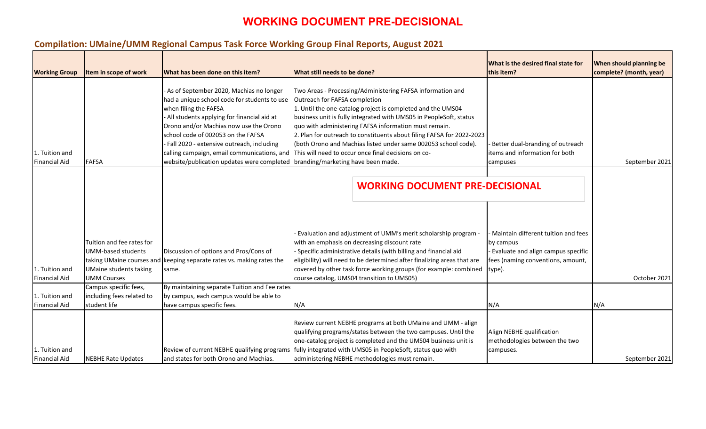# **Compilation: UMaine/UMM Regional Campus Task Force Working Group Final Reports, August 2021**

| <b>Working Group</b>                   | Item in scope of work                                                                                                                      | What has been done on this item?                                                                                                                                                                                                                                                                                                                                                             | What still needs to be done?                                                                                                                                                                                                                                                                                                                                                                                                                                                                                                      | <b>What is the desired final state for</b><br>this item?                                                                              | Wh<br>con |
|----------------------------------------|--------------------------------------------------------------------------------------------------------------------------------------------|----------------------------------------------------------------------------------------------------------------------------------------------------------------------------------------------------------------------------------------------------------------------------------------------------------------------------------------------------------------------------------------------|-----------------------------------------------------------------------------------------------------------------------------------------------------------------------------------------------------------------------------------------------------------------------------------------------------------------------------------------------------------------------------------------------------------------------------------------------------------------------------------------------------------------------------------|---------------------------------------------------------------------------------------------------------------------------------------|-----------|
| 1. Tuition and<br><b>Financial Aid</b> | <b>FAFSA</b>                                                                                                                               | As of September 2020, Machias no longer<br>had a unique school code for students to use<br>when filing the FAFSA<br>- All students applying for financial aid at<br>Orono and/or Machias now use the Orono<br>school code of 002053 on the FAFSA<br>- Fall 2020 - extensive outreach, including<br>calling campaign, email communications, and<br>website/publication updates were completed | Two Areas - Processing/Administering FAFSA information and<br>Outreach for FAFSA completion<br>1. Until the one-catalog project is completed and the UMS04<br>business unit is fully integrated with UMS05 in PeopleSoft, status<br>quo with administering FAFSA information must remain.<br>2. Plan for outreach to constituents about filing FAFSA for 2022-2023<br>(both Orono and Machias listed under same 002053 school code).<br>This will need to occur once final decisions on co-<br>branding/marketing have been made. | Better dual-branding of outreach<br>items and information for both<br>campuses                                                        |           |
|                                        |                                                                                                                                            |                                                                                                                                                                                                                                                                                                                                                                                              | <b>WORKING DOCUMENT PRE-DECISIONAL</b>                                                                                                                                                                                                                                                                                                                                                                                                                                                                                            |                                                                                                                                       |           |
| 1. Tuition and<br><b>Financial Aid</b> | Tuition and fee rates for<br><b>UMM-based students</b><br>taking UMaine courses and<br><b>UMaine students taking</b><br><b>UMM Courses</b> | Discussion of options and Pros/Cons of<br>keeping separate rates vs. making rates the<br>same.                                                                                                                                                                                                                                                                                               | Evaluation and adjustment of UMM's merit scholarship program -<br>with an emphasis on decreasing discount rate<br>Specific administrative details (with billing and financial aid<br>eligibility) will need to be determined after finalizing areas that are<br>covered by other task force working groups (for example: combined<br>course catalog, UMS04 transition to UMS05)                                                                                                                                                   | Maintain different tuition and fees<br>by campus<br>Evaluate and align campus specific<br>fees (naming conventions, amount,<br>type). |           |
| 1. Tuition and<br><b>Financial Aid</b> | Campus specific fees,<br>including fees related to<br>student life                                                                         | By maintaining separate Tuition and Fee rates<br>by campus, each campus would be able to<br>have campus specific fees.                                                                                                                                                                                                                                                                       | N/A                                                                                                                                                                                                                                                                                                                                                                                                                                                                                                                               | N/A                                                                                                                                   | N/A       |
| 1. Tuition and<br><b>Financial Aid</b> | <b>NEBHE Rate Updates</b>                                                                                                                  | Review of current NEBHE qualifying programs<br>and states for both Orono and Machias.                                                                                                                                                                                                                                                                                                        | Review current NEBHE programs at both UMaine and UMM - align<br>qualifying programs/states between the two campuses. Until the<br>one-catalog project is completed and the UMS04 business unit is<br>fully integrated with UMS05 in PeopleSoft, status quo with<br>administering NEBHE methodologies must remain.                                                                                                                                                                                                                 | Align NEBHE qualification<br>methodologies between the two<br>campuses.                                                               |           |

| What is the desired final state for<br>this item?                         | When should planning be<br>complete? (month, year) |
|---------------------------------------------------------------------------|----------------------------------------------------|
|                                                                           |                                                    |
|                                                                           |                                                    |
|                                                                           |                                                    |
| - Better dual-branding of outreach<br>items and information for both      |                                                    |
| campuses                                                                  | September 2021                                     |
| <b>DECISIONAL</b>                                                         |                                                    |
|                                                                           |                                                    |
| - Maintain different tuition and fees<br>by campus                        |                                                    |
| - Evaluate and align campus specific<br>fees (naming conventions, amount, |                                                    |
| type).                                                                    | October 2021                                       |
|                                                                           |                                                    |
| N/A                                                                       | N/A                                                |
| Align NEBHE qualification<br>methodologies between the two<br>campuses.   |                                                    |
|                                                                           | September 2021                                     |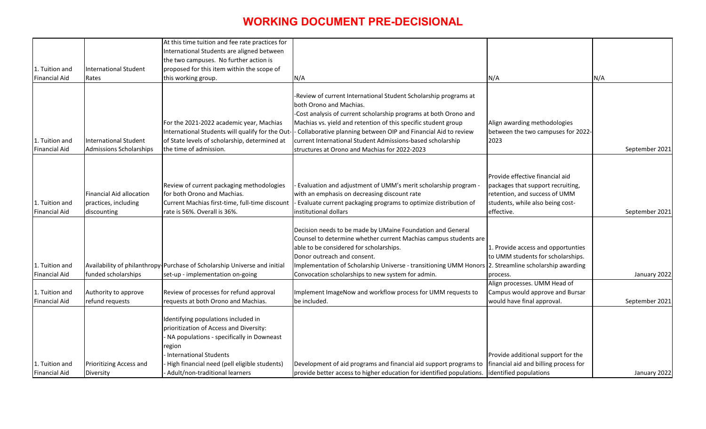|                      |                                 | At this time tuition and fee rate practices for                           |                                                                                                      |                                                                         |                |
|----------------------|---------------------------------|---------------------------------------------------------------------------|------------------------------------------------------------------------------------------------------|-------------------------------------------------------------------------|----------------|
|                      |                                 | International Students are aligned between                                |                                                                                                      |                                                                         |                |
|                      |                                 | the two campuses. No further action is                                    |                                                                                                      |                                                                         |                |
| 1. Tuition and       | International Student           | proposed for this item within the scope of                                |                                                                                                      |                                                                         |                |
| <b>Financial Aid</b> | Rates                           | this working group.                                                       | N/A                                                                                                  | N/A                                                                     | N/A            |
|                      |                                 |                                                                           |                                                                                                      |                                                                         |                |
|                      |                                 |                                                                           | -Review of current International Student Scholarship programs at                                     |                                                                         |                |
|                      |                                 |                                                                           | both Orono and Machias.                                                                              |                                                                         |                |
|                      |                                 |                                                                           | -Cost analysis of current scholarship programs at both Orono and                                     |                                                                         |                |
|                      |                                 | For the 2021-2022 academic year, Machias                                  | Machias vs. yield and retention of this specific student group                                       | Align awarding methodologies                                            |                |
|                      |                                 | International Students will qualify for the Out                           | - Collaborative planning between OIP and Financial Aid to review                                     | between the two campuses for 2022-                                      |                |
| 1. Tuition and       | <b>International Student</b>    | of State levels of scholarship, determined at                             | current International Student Admissions-based scholarship                                           | 2023                                                                    |                |
| <b>Financial Aid</b> | Admissions Scholarships         | the time of admission.                                                    | structures at Orono and Machias for 2022-2023                                                        |                                                                         | September 2021 |
|                      |                                 |                                                                           |                                                                                                      |                                                                         |                |
|                      |                                 |                                                                           |                                                                                                      |                                                                         |                |
|                      |                                 |                                                                           |                                                                                                      | Provide effective financial aid                                         |                |
|                      |                                 | Review of current packaging methodologies                                 | - Evaluation and adjustment of UMM's merit scholarship program -                                     | packages that support recruiting,                                       |                |
|                      | <b>Financial Aid allocation</b> | for both Orono and Machias.                                               | with an emphasis on decreasing discount rate                                                         | retention, and success of UMM                                           |                |
| 1. Tuition and       | practices, including            | Current Machias first-time, full-time discount                            | - Evaluate current packaging programs to optimize distribution of                                    | students, while also being cost-                                        |                |
| <b>Financial Aid</b> | discounting                     | rate is 56%. Overall is 36%.                                              | institutional dollars                                                                                | effective.                                                              | September 2021 |
|                      |                                 |                                                                           |                                                                                                      |                                                                         |                |
|                      |                                 |                                                                           | Decision needs to be made by UMaine Foundation and General                                           |                                                                         |                |
|                      |                                 |                                                                           | Counsel to determine whether current Machias campus students are                                     |                                                                         |                |
|                      |                                 |                                                                           | able to be considered for scholarships.<br>Donor outreach and consent.                               | 1. Provide access and opportunties<br>to UMM students for scholarships. |                |
| L. Tuition and       |                                 | Availability of philanthropy Purchase of Scholarship Universe and initial | Implementation of Scholarship Universe - transitioning UMM Honors 2. Streamline scholarship awarding |                                                                         |                |
| <b>Financial Aid</b> | funded scholarships             | set-up - implementation on-going                                          | Convocation scholarships to new system for admin.                                                    | process.                                                                | January 2022   |
|                      |                                 |                                                                           |                                                                                                      | Align processes. UMM Head of                                            |                |
| 1. Tuition and       | Authority to approve            | Review of processes for refund approval                                   | Implement ImageNow and workflow process for UMM requests to                                          | Campus would approve and Bursar                                         |                |
| <b>Financial Aid</b> | refund requests                 | requests at both Orono and Machias.                                       | be included.                                                                                         | would have final approval.                                              | September 2021 |
|                      |                                 |                                                                           |                                                                                                      |                                                                         |                |
|                      |                                 | Identifying populations included in                                       |                                                                                                      |                                                                         |                |
|                      |                                 | prioritization of Access and Diversity:                                   |                                                                                                      |                                                                         |                |
|                      |                                 | - NA populations - specifically in Downeast                               |                                                                                                      |                                                                         |                |
|                      |                                 | region                                                                    |                                                                                                      |                                                                         |                |
|                      |                                 | International Students                                                    |                                                                                                      | Provide additional support for the                                      |                |
| 1. Tuition and       | <b>Prioritizing Access and</b>  | High financial need (pell eligible students)                              | Development of aid programs and financial aid support programs to                                    | financial aid and billing process for                                   |                |
| <b>Financial Aid</b> | Diversity                       | Adult/non-traditional learners                                            | provide better access to higher education for identified populations.                                | identified populations                                                  | January 2022   |
|                      |                                 |                                                                           |                                                                                                      |                                                                         |                |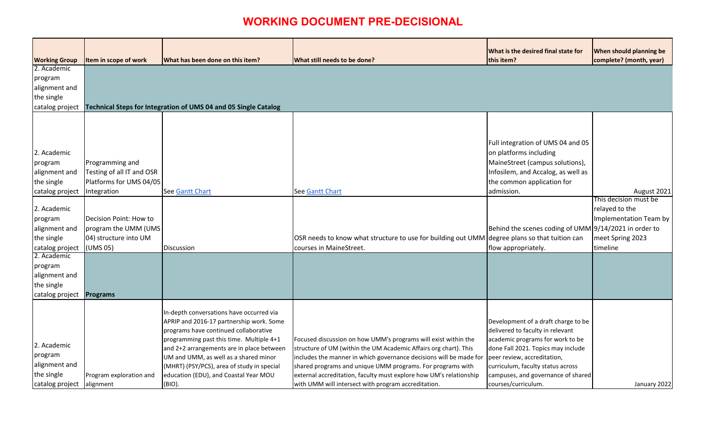|                      |                           |                                                                                       |                                                                                                                                    | <b>What is the desired final state for</b>                             | <b>When should planning be</b>       |
|----------------------|---------------------------|---------------------------------------------------------------------------------------|------------------------------------------------------------------------------------------------------------------------------------|------------------------------------------------------------------------|--------------------------------------|
| <b>Working Group</b> | Item in scope of work     | What has been done on this item?                                                      | What still needs to be done?                                                                                                       | this item?                                                             | complete? (month, year)              |
| 2. Academic          |                           |                                                                                       |                                                                                                                                    |                                                                        |                                      |
| program              |                           |                                                                                       |                                                                                                                                    |                                                                        |                                      |
| alignment and        |                           |                                                                                       |                                                                                                                                    |                                                                        |                                      |
| the single           |                           |                                                                                       |                                                                                                                                    |                                                                        |                                      |
| catalog project      |                           | Technical Steps for Integration of UMS 04 and 05 Single Catalog                       |                                                                                                                                    |                                                                        |                                      |
|                      |                           |                                                                                       |                                                                                                                                    |                                                                        |                                      |
|                      |                           |                                                                                       |                                                                                                                                    |                                                                        |                                      |
|                      |                           |                                                                                       |                                                                                                                                    |                                                                        |                                      |
|                      |                           |                                                                                       |                                                                                                                                    | Full integration of UMS 04 and 05                                      |                                      |
| 2. Academic          |                           |                                                                                       |                                                                                                                                    | on platforms including                                                 |                                      |
| program              | Programming and           |                                                                                       |                                                                                                                                    | MaineStreet (campus solutions),                                        |                                      |
| alignment and        | Testing of all IT and OSR |                                                                                       |                                                                                                                                    | Infosilem, and Accalog, as well as                                     |                                      |
| the single           | Platforms for UMS 04/05   |                                                                                       |                                                                                                                                    | the common application for                                             |                                      |
| catalog project      | Integration               | See Gantt Chart                                                                       | <b>See Gantt Chart</b>                                                                                                             | admission.                                                             | August 2021<br>This decision must be |
| 2. Academic          |                           |                                                                                       |                                                                                                                                    |                                                                        | relayed to the                       |
| program              | Decision Point: How to    |                                                                                       |                                                                                                                                    |                                                                        | Implementation Team by               |
| alignment and        | program the UMM (UMS      |                                                                                       |                                                                                                                                    | Behind the scenes coding of UMM 9/14/2021 in order to                  |                                      |
| the single           | 04) structure into UM     |                                                                                       | OSR needs to know what structure to use for building out UMM degree plans so that tuition can                                      |                                                                        | meet Spring 2023                     |
| catalog project      | (UMS 05)                  | Discussion                                                                            | courses in MaineStreet.                                                                                                            | flow appropriately.                                                    | timeline                             |
| 2. Academic          |                           |                                                                                       |                                                                                                                                    |                                                                        |                                      |
| program              |                           |                                                                                       |                                                                                                                                    |                                                                        |                                      |
| alignment and        |                           |                                                                                       |                                                                                                                                    |                                                                        |                                      |
| the single           |                           |                                                                                       |                                                                                                                                    |                                                                        |                                      |
| catalog project      | <b>Programs</b>           |                                                                                       |                                                                                                                                    |                                                                        |                                      |
|                      |                           |                                                                                       |                                                                                                                                    |                                                                        |                                      |
|                      |                           | In-depth conversations have occurred via                                              |                                                                                                                                    |                                                                        |                                      |
|                      |                           | APRIP and 2016-17 partnership work. Some                                              |                                                                                                                                    | Development of a draft charge to be                                    |                                      |
|                      |                           | programs have continued collaborative                                                 |                                                                                                                                    | delivered to faculty in relevant                                       |                                      |
| 2. Academic          |                           | programming past this time. Multiple 4+1<br>and 2+2 arrangements are in place between | Focused discussion on how UMM's programs will exist within the<br>structure of UM (within the UM Academic Affairs org chart). This | academic programs for work to be<br>done Fall 2021. Topics may include |                                      |
| program              |                           | UM and UMM, as well as a shared minor                                                 | includes the manner in which governance decisions will be made for                                                                 | peer review, accreditation,                                            |                                      |
| alignment and        |                           | (MHRT) (PSY/PCS), area of study in special                                            | shared programs and unique UMM programs. For programs with                                                                         | curriculum, faculty status across                                      |                                      |
| the single           | Program exploration and   | education (EDU), and Coastal Year MOU                                                 | external accreditation, faculty must explore how UM's relationship                                                                 | campuses, and governance of shared                                     |                                      |
| catalog project      | alignment                 | (BIO).                                                                                | with UMM will intersect with program accreditation.                                                                                | courses/curriculum.                                                    | January 2022                         |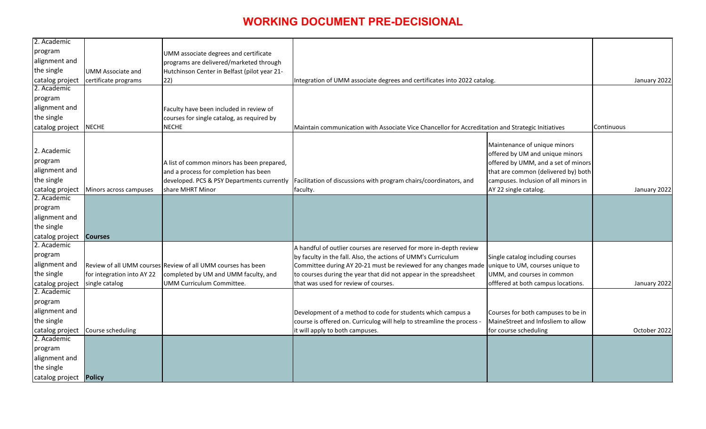| og.                                                                                                                                                                                                            |            | January 2022 |
|----------------------------------------------------------------------------------------------------------------------------------------------------------------------------------------------------------------|------------|--------------|
| tion and Strategic Initiatives                                                                                                                                                                                 | Continuous |              |
| Maintenance of unique minors<br>offered by UM and unique minors<br>offered by UMM, and a set of minors<br>that are common (delivered by) both<br>campuses. Inclusion of all minors in<br>AY 22 single catalog. |            | January 2022 |
|                                                                                                                                                                                                                |            |              |
| Single catalog including courses<br>unique to UM, courses unique to<br>UMM, and courses in common<br>offfered at both campus locations.                                                                        |            | January 2022 |
| Courses for both campuses to be in<br>MaineStreet and Infosliem to allow<br>for course scheduling                                                                                                              |            | October 2022 |
|                                                                                                                                                                                                                |            |              |

| 2. Academic                   |                            |                                                              |                                                                                                   |                                      |              |
|-------------------------------|----------------------------|--------------------------------------------------------------|---------------------------------------------------------------------------------------------------|--------------------------------------|--------------|
| program                       |                            | UMM associate degrees and certificate                        |                                                                                                   |                                      |              |
| alignment and                 |                            | programs are delivered/marketed through                      |                                                                                                   |                                      |              |
| the single                    | <b>UMM Associate and</b>   | Hutchinson Center in Belfast (pilot year 21-                 |                                                                                                   |                                      |              |
| catalog project               | certificate programs       | 22)                                                          | Integration of UMM associate degrees and certificates into 2022 catalog.                          |                                      | January 2022 |
| 2. Academic                   |                            |                                                              |                                                                                                   |                                      |              |
| program                       |                            |                                                              |                                                                                                   |                                      |              |
| alignment and                 |                            | Faculty have been included in review of                      |                                                                                                   |                                      |              |
| the single                    |                            | courses for single catalog, as required by                   |                                                                                                   |                                      |              |
| catalog project               | <b>NECHE</b>               | <b>NECHE</b>                                                 | Maintain communication with Associate Vice Chancellor for Accreditation and Strategic Initiatives |                                      | Continuous   |
|                               |                            |                                                              |                                                                                                   |                                      |              |
|                               |                            |                                                              |                                                                                                   | Maintenance of unique minors         |              |
| 2. Academic                   |                            |                                                              |                                                                                                   | offered by UM and unique minors      |              |
| program                       |                            | A list of common minors has been prepared,                   |                                                                                                   | offered by UMM, and a set of minors  |              |
| alignment and                 |                            | and a process for completion has been                        |                                                                                                   | that are common (delivered by) both  |              |
| the single                    |                            | developed. PCS & PSY Departments currently                   | Facilitation of discussions with program chairs/coordinators, and                                 | campuses. Inclusion of all minors in |              |
| catalog project               | Minors across campuses     | share MHRT Minor                                             | faculty.                                                                                          | AY 22 single catalog.                | January 2022 |
| 2. Academic                   |                            |                                                              |                                                                                                   |                                      |              |
| program                       |                            |                                                              |                                                                                                   |                                      |              |
| alignment and                 |                            |                                                              |                                                                                                   |                                      |              |
| the single                    |                            |                                                              |                                                                                                   |                                      |              |
| catalog project               | <b>Courses</b>             |                                                              |                                                                                                   |                                      |              |
| 2. Academic                   |                            |                                                              | A handful of outlier courses are reserved for more in-depth review                                |                                      |              |
| program                       |                            |                                                              | by faculty in the fall. Also, the actions of UMM's Curriculum                                     | Single catalog including courses     |              |
| alignment and                 |                            | Review of all UMM courses Review of all UMM courses has been | Committee during AY 20-21 must be reviewed for any changes made                                   | unique to UM, courses unique to      |              |
| the single                    | for integration into AY 22 | completed by UM and UMM faculty, and                         | to courses during the year that did not appear in the spreadsheet                                 | UMM, and courses in common           |              |
| catalog project               | single catalog             | <b>UMM Curriculum Committee.</b>                             | that was used for review of courses.                                                              | offfered at both campus locations.   | January 2022 |
| 2. Academic                   |                            |                                                              |                                                                                                   |                                      |              |
| program                       |                            |                                                              |                                                                                                   |                                      |              |
| alignment and                 |                            |                                                              | Development of a method to code for students which campus a                                       | Courses for both campuses to be in   |              |
| the single                    |                            |                                                              | course is offered on. Curriculog will help to streamline the process -                            | MaineStreet and Infosliem to allow   |              |
| catalog project               | Course scheduling          |                                                              | it will apply to both campuses.                                                                   | for course scheduling                | October 2022 |
| 2. Academic                   |                            |                                                              |                                                                                                   |                                      |              |
| program                       |                            |                                                              |                                                                                                   |                                      |              |
| alignment and                 |                            |                                                              |                                                                                                   |                                      |              |
| the single                    |                            |                                                              |                                                                                                   |                                      |              |
| catalog project <b>Policy</b> |                            |                                                              |                                                                                                   |                                      |              |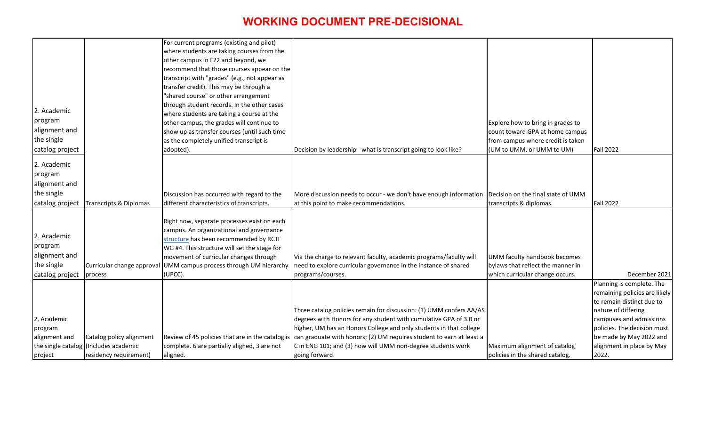|                 |                                       | For current programs (existing and pilot)                                               |                                                                                                      |                                   |                               |
|-----------------|---------------------------------------|-----------------------------------------------------------------------------------------|------------------------------------------------------------------------------------------------------|-----------------------------------|-------------------------------|
|                 |                                       | where students are taking courses from the                                              |                                                                                                      |                                   |                               |
|                 |                                       | other campus in F22 and beyond, we                                                      |                                                                                                      |                                   |                               |
|                 |                                       | recommend that those courses appear on the                                              |                                                                                                      |                                   |                               |
|                 |                                       | transcript with "grades" (e.g., not appear as                                           |                                                                                                      |                                   |                               |
|                 |                                       | transfer credit). This may be through a                                                 |                                                                                                      |                                   |                               |
|                 |                                       | "shared course" or other arrangement                                                    |                                                                                                      |                                   |                               |
|                 |                                       | through student records. In the other cases                                             |                                                                                                      |                                   |                               |
| 2. Academic     |                                       | where students are taking a course at the                                               |                                                                                                      |                                   |                               |
| program         |                                       | other campus, the grades will continue to                                               |                                                                                                      | Explore how to bring in grades to |                               |
| alignment and   |                                       | show up as transfer courses (until such time                                            |                                                                                                      | count toward GPA at home campus   |                               |
| the single      |                                       | as the completely unified transcript is                                                 |                                                                                                      | from campus where credit is taken |                               |
| catalog project |                                       | adopted).                                                                               | Decision by leadership - what is transcript going to look like?                                      | (UM to UMM, or UMM to UM)         | <b>Fall 2022</b>              |
| 2. Academic     |                                       |                                                                                         |                                                                                                      |                                   |                               |
| program         |                                       |                                                                                         |                                                                                                      |                                   |                               |
| alignment and   |                                       |                                                                                         |                                                                                                      |                                   |                               |
| the single      |                                       |                                                                                         |                                                                                                      |                                   |                               |
|                 |                                       | Discussion has occurred with regard to the                                              | More discussion needs to occur - we don't have enough information Decision on the final state of UMM |                                   |                               |
| catalog project | Transcripts & Diplomas                | different characteristics of transcripts.                                               | at this point to make recommendations.                                                               | transcripts & diplomas            | <b>Fall 2022</b>              |
|                 |                                       |                                                                                         |                                                                                                      |                                   |                               |
|                 |                                       | Right now, separate processes exist on each<br>campus. An organizational and governance |                                                                                                      |                                   |                               |
| 2. Academic     |                                       | structure has been recommended by RCTF                                                  |                                                                                                      |                                   |                               |
| program         |                                       | WG #4. This structure will set the stage for                                            |                                                                                                      |                                   |                               |
| alignment and   |                                       | movement of curricular changes through                                                  | Via the charge to relevant faculty, academic programs/faculty will                                   | UMM faculty handbook becomes      |                               |
| the single      |                                       |                                                                                         |                                                                                                      | bylaws that reflect the manner in |                               |
|                 | Curricular change approval            | UMM campus process through UM hierarchy                                                 | need to explore curricular governance in the instance of shared<br>programs/courses.                 | which curricular change occurs.   | December 2021                 |
| catalog project | process                               | (UPCC).                                                                                 |                                                                                                      |                                   | Planning is complete. The     |
|                 |                                       |                                                                                         |                                                                                                      |                                   | remaining policies are likely |
|                 |                                       |                                                                                         |                                                                                                      |                                   | to remain distinct due to     |
|                 |                                       |                                                                                         | Three catalog policies remain for discussion: (1) UMM confers AA/AS                                  |                                   | nature of differing           |
| 2. Academic     |                                       |                                                                                         | degrees with Honors for any student with cumulative GPA of 3.0 or                                    |                                   | campuses and admissions       |
| program         |                                       |                                                                                         | higher, UM has an Honors College and only students in that college                                   |                                   | policies. The decision must   |
| alignment and   | Catalog policy alignment              | Review of 45 policies that are in the catalog is                                        | can graduate with honors; (2) UM requires student to earn at least a                                 |                                   | be made by May 2022 and       |
|                 | the single catalog (Includes academic | complete. 6 are partially aligned, 3 are not                                            | C in ENG 101; and (3) how will UMM non-degree students work                                          | Maximum alignment of catalog      | alignment in place by May     |
|                 | residency requirement)                | aligned.                                                                                | going forward.                                                                                       | policies in the shared catalog.   | 2022.                         |
| project         |                                       |                                                                                         |                                                                                                      |                                   |                               |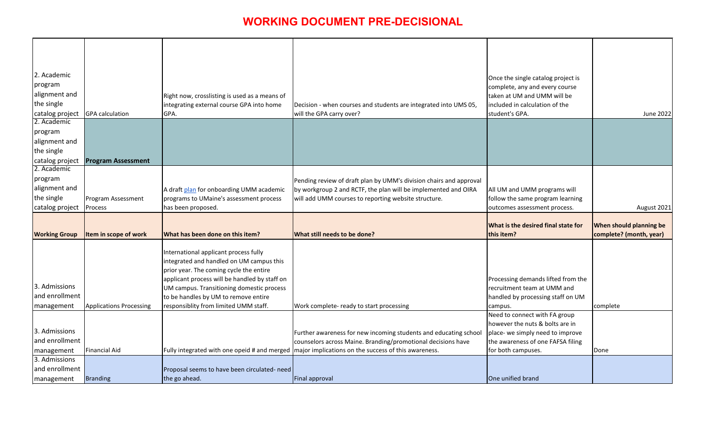| 2. Academic<br>program<br>alignment and<br>the single |                                | Right now, crosslisting is used as a means of<br>integrating external course GPA into home                                                                                    | Decision - when courses and students are integrated into UMS 05,                                          | Once the single catalog project is<br>complete, any and every course<br>taken at UM and UMM will be<br>included in calculation of the |                                                    |
|-------------------------------------------------------|--------------------------------|-------------------------------------------------------------------------------------------------------------------------------------------------------------------------------|-----------------------------------------------------------------------------------------------------------|---------------------------------------------------------------------------------------------------------------------------------------|----------------------------------------------------|
| catalog project                                       | <b>GPA</b> calculation         | GPA.                                                                                                                                                                          | will the GPA carry over?                                                                                  | student's GPA.                                                                                                                        | June 2022                                          |
| 2. Academic                                           |                                |                                                                                                                                                                               |                                                                                                           |                                                                                                                                       |                                                    |
| program                                               |                                |                                                                                                                                                                               |                                                                                                           |                                                                                                                                       |                                                    |
| alignment and                                         |                                |                                                                                                                                                                               |                                                                                                           |                                                                                                                                       |                                                    |
| the single                                            |                                |                                                                                                                                                                               |                                                                                                           |                                                                                                                                       |                                                    |
| catalog project                                       | <b>Program Assessment</b>      |                                                                                                                                                                               |                                                                                                           |                                                                                                                                       |                                                    |
| 2. Academic                                           |                                |                                                                                                                                                                               |                                                                                                           |                                                                                                                                       |                                                    |
| program                                               |                                |                                                                                                                                                                               | Pending review of draft plan by UMM's division chairs and approval                                        |                                                                                                                                       |                                                    |
| alignment and                                         |                                | A draft plan for onboarding UMM academic                                                                                                                                      | by workgroup 2 and RCTF, the plan will be implemented and OIRA                                            | All UM and UMM programs will                                                                                                          |                                                    |
| the single                                            | Program Assessment             | programs to UMaine's assessment process                                                                                                                                       | will add UMM courses to reporting website structure.                                                      | follow the same program learning                                                                                                      |                                                    |
| catalog project                                       | Process                        | has been proposed.                                                                                                                                                            |                                                                                                           | outcomes assessment process.                                                                                                          | August 2021                                        |
| <b>Working Group</b>                                  | Item in scope of work          | What has been done on this item?                                                                                                                                              | What still needs to be done?                                                                              | <b>What is the desired final state for</b><br>this item?                                                                              | When should planning be<br>complete? (month, year) |
| 3. Admissions<br>and enrollment                       |                                | International applicant process fully<br>integrated and handled on UM campus this<br>prior year. The coming cycle the entire<br>applicant process will be handled by staff on |                                                                                                           | Processing demands lifted from the                                                                                                    |                                                    |
|                                                       |                                | UM campus. Transitioning domestic process<br>to be handles by UM to remove entire                                                                                             |                                                                                                           | recruitment team at UMM and<br>handled by processing staff on UM                                                                      |                                                    |
| management                                            | <b>Applications Processing</b> | responsiblity from limited UMM staff.                                                                                                                                         | Work complete- ready to start processing                                                                  | campus.                                                                                                                               | complete                                           |
|                                                       |                                |                                                                                                                                                                               |                                                                                                           | Need to connect with FA group<br>however the nuts & bolts are in                                                                      |                                                    |
| 3. Admissions                                         |                                |                                                                                                                                                                               | Further awareness for new incoming students and educating school                                          | place- we simply need to improve                                                                                                      |                                                    |
| and enrollment                                        |                                |                                                                                                                                                                               | counselors across Maine. Branding/promotional decisions have                                              | the awareness of one FAFSA filing                                                                                                     |                                                    |
| <b>management</b>                                     | <b>Financial Aid</b>           |                                                                                                                                                                               | Fully integrated with one opeid # and merged $\vert$ major implications on the success of this awareness. | for both campuses.                                                                                                                    | Done                                               |
| 3. Admissions                                         |                                |                                                                                                                                                                               |                                                                                                           |                                                                                                                                       |                                                    |
| and enrollment                                        | <b>Branding</b>                | Proposal seems to have been circulated- need                                                                                                                                  | Final approval                                                                                            | One unified brand                                                                                                                     |                                                    |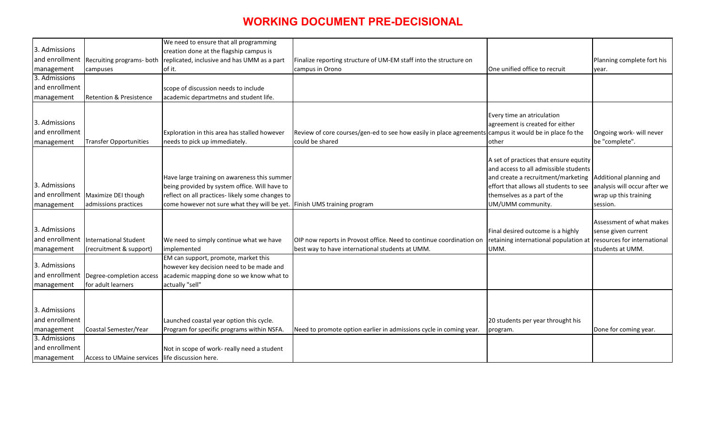| We need to ensure that all programming<br>3. Admissions<br>creation done at the flagship campus is<br>and enrollment<br>replicated, inclusive and has UMM as a part<br>Recruiting programs- both<br>Finalize reporting structure of UM-EM staff into the structure on<br>Planning complete fort his<br>One unified office to recruit<br>campus in Orono<br>management<br>of it.<br>campuses<br>year.<br>3. Admissions<br>and enrollment<br>scope of discussion needs to include<br><b>Retention &amp; Presistence</b><br>academic departmetns and student life.<br>management<br>Every time an atriculation<br>3. Admissions<br>agreement is created for either<br>and enrollment<br>Exploration in this area has stalled however<br>Review of core courses/gen-ed to see how easily in place agreements campus it would be in place fo the<br>Ongoing work- will never<br>needs to pick up immediately.<br>could be shared<br>be "complete".<br><b>Transfer Opportunities</b><br>other<br>management<br>A set of practices that ensure equtity<br>and access to all admissible students<br>Have large training on awareness this summer<br>and create a recruitment/marketing<br>Additional planning and<br>3. Admissions<br>being provided by system office. Will have to<br>analysis will occur after we<br>effort that allows all students to see<br>and enrollment   Maximize DEI though<br>reflect on all practices-likely some changes to<br>themselves as a part of the<br>wrap up this training<br>come however not sure what they will be yet. Finish UMS training program<br>UM/UMM community.<br>admissions practices<br>management<br>session.<br>Assessment of what makes<br>3. Admissions<br>Final desired outcome is a highly<br>sense given current<br>and enrollment<br>retaining international population at resources for international<br>International Student<br>We need to simply continue what we have<br>OIP now reports in Provost office. Need to continue coordination on<br>best way to have international students at UMM.<br>(recruitment & support)<br>implemented<br>UMM.<br>students at UMM.<br>management<br>EM can support, promote, market this<br>3. Admissions<br>however key decision need to be made and<br>and enrollment<br>Degree-completion access<br>academic mapping done so we know what to<br>for adult learners<br>actually "sell"<br>management<br>3. Admissions<br>and enrollment<br>Launched coastal year option this cycle.<br>20 students per year throught his<br>Program for specific programs within NSFA.<br>Coastal Semester/Year<br>Need to promote option earlier in admissions cycle in coming year.<br>Done for coming year.<br>management<br>program.<br>3. Admissions<br>and enrollment<br>Not in scope of work- really need a student<br>Access to UMaine services life discussion here.<br>management |  |  |  |
|----------------------------------------------------------------------------------------------------------------------------------------------------------------------------------------------------------------------------------------------------------------------------------------------------------------------------------------------------------------------------------------------------------------------------------------------------------------------------------------------------------------------------------------------------------------------------------------------------------------------------------------------------------------------------------------------------------------------------------------------------------------------------------------------------------------------------------------------------------------------------------------------------------------------------------------------------------------------------------------------------------------------------------------------------------------------------------------------------------------------------------------------------------------------------------------------------------------------------------------------------------------------------------------------------------------------------------------------------------------------------------------------------------------------------------------------------------------------------------------------------------------------------------------------------------------------------------------------------------------------------------------------------------------------------------------------------------------------------------------------------------------------------------------------------------------------------------------------------------------------------------------------------------------------------------------------------------------------------------------------------------------------------------------------------------------------------------------------------------------------------------------------------------------------------------------------------------------------------------------------------------------------------------------------------------------------------------------------------------------------------------------------------------------------------------------------------------------------------------------------------------------------------------------------------------------------------------------------------------------------------------------------------------------------------------------------------------------------------------------------------------------------------------------------------------------------------------------------------------------------------|--|--|--|
|                                                                                                                                                                                                                                                                                                                                                                                                                                                                                                                                                                                                                                                                                                                                                                                                                                                                                                                                                                                                                                                                                                                                                                                                                                                                                                                                                                                                                                                                                                                                                                                                                                                                                                                                                                                                                                                                                                                                                                                                                                                                                                                                                                                                                                                                                                                                                                                                                                                                                                                                                                                                                                                                                                                                                                                                                                                                            |  |  |  |
|                                                                                                                                                                                                                                                                                                                                                                                                                                                                                                                                                                                                                                                                                                                                                                                                                                                                                                                                                                                                                                                                                                                                                                                                                                                                                                                                                                                                                                                                                                                                                                                                                                                                                                                                                                                                                                                                                                                                                                                                                                                                                                                                                                                                                                                                                                                                                                                                                                                                                                                                                                                                                                                                                                                                                                                                                                                                            |  |  |  |
|                                                                                                                                                                                                                                                                                                                                                                                                                                                                                                                                                                                                                                                                                                                                                                                                                                                                                                                                                                                                                                                                                                                                                                                                                                                                                                                                                                                                                                                                                                                                                                                                                                                                                                                                                                                                                                                                                                                                                                                                                                                                                                                                                                                                                                                                                                                                                                                                                                                                                                                                                                                                                                                                                                                                                                                                                                                                            |  |  |  |
|                                                                                                                                                                                                                                                                                                                                                                                                                                                                                                                                                                                                                                                                                                                                                                                                                                                                                                                                                                                                                                                                                                                                                                                                                                                                                                                                                                                                                                                                                                                                                                                                                                                                                                                                                                                                                                                                                                                                                                                                                                                                                                                                                                                                                                                                                                                                                                                                                                                                                                                                                                                                                                                                                                                                                                                                                                                                            |  |  |  |
|                                                                                                                                                                                                                                                                                                                                                                                                                                                                                                                                                                                                                                                                                                                                                                                                                                                                                                                                                                                                                                                                                                                                                                                                                                                                                                                                                                                                                                                                                                                                                                                                                                                                                                                                                                                                                                                                                                                                                                                                                                                                                                                                                                                                                                                                                                                                                                                                                                                                                                                                                                                                                                                                                                                                                                                                                                                                            |  |  |  |
|                                                                                                                                                                                                                                                                                                                                                                                                                                                                                                                                                                                                                                                                                                                                                                                                                                                                                                                                                                                                                                                                                                                                                                                                                                                                                                                                                                                                                                                                                                                                                                                                                                                                                                                                                                                                                                                                                                                                                                                                                                                                                                                                                                                                                                                                                                                                                                                                                                                                                                                                                                                                                                                                                                                                                                                                                                                                            |  |  |  |
|                                                                                                                                                                                                                                                                                                                                                                                                                                                                                                                                                                                                                                                                                                                                                                                                                                                                                                                                                                                                                                                                                                                                                                                                                                                                                                                                                                                                                                                                                                                                                                                                                                                                                                                                                                                                                                                                                                                                                                                                                                                                                                                                                                                                                                                                                                                                                                                                                                                                                                                                                                                                                                                                                                                                                                                                                                                                            |  |  |  |
|                                                                                                                                                                                                                                                                                                                                                                                                                                                                                                                                                                                                                                                                                                                                                                                                                                                                                                                                                                                                                                                                                                                                                                                                                                                                                                                                                                                                                                                                                                                                                                                                                                                                                                                                                                                                                                                                                                                                                                                                                                                                                                                                                                                                                                                                                                                                                                                                                                                                                                                                                                                                                                                                                                                                                                                                                                                                            |  |  |  |
|                                                                                                                                                                                                                                                                                                                                                                                                                                                                                                                                                                                                                                                                                                                                                                                                                                                                                                                                                                                                                                                                                                                                                                                                                                                                                                                                                                                                                                                                                                                                                                                                                                                                                                                                                                                                                                                                                                                                                                                                                                                                                                                                                                                                                                                                                                                                                                                                                                                                                                                                                                                                                                                                                                                                                                                                                                                                            |  |  |  |
|                                                                                                                                                                                                                                                                                                                                                                                                                                                                                                                                                                                                                                                                                                                                                                                                                                                                                                                                                                                                                                                                                                                                                                                                                                                                                                                                                                                                                                                                                                                                                                                                                                                                                                                                                                                                                                                                                                                                                                                                                                                                                                                                                                                                                                                                                                                                                                                                                                                                                                                                                                                                                                                                                                                                                                                                                                                                            |  |  |  |
|                                                                                                                                                                                                                                                                                                                                                                                                                                                                                                                                                                                                                                                                                                                                                                                                                                                                                                                                                                                                                                                                                                                                                                                                                                                                                                                                                                                                                                                                                                                                                                                                                                                                                                                                                                                                                                                                                                                                                                                                                                                                                                                                                                                                                                                                                                                                                                                                                                                                                                                                                                                                                                                                                                                                                                                                                                                                            |  |  |  |
|                                                                                                                                                                                                                                                                                                                                                                                                                                                                                                                                                                                                                                                                                                                                                                                                                                                                                                                                                                                                                                                                                                                                                                                                                                                                                                                                                                                                                                                                                                                                                                                                                                                                                                                                                                                                                                                                                                                                                                                                                                                                                                                                                                                                                                                                                                                                                                                                                                                                                                                                                                                                                                                                                                                                                                                                                                                                            |  |  |  |
|                                                                                                                                                                                                                                                                                                                                                                                                                                                                                                                                                                                                                                                                                                                                                                                                                                                                                                                                                                                                                                                                                                                                                                                                                                                                                                                                                                                                                                                                                                                                                                                                                                                                                                                                                                                                                                                                                                                                                                                                                                                                                                                                                                                                                                                                                                                                                                                                                                                                                                                                                                                                                                                                                                                                                                                                                                                                            |  |  |  |
|                                                                                                                                                                                                                                                                                                                                                                                                                                                                                                                                                                                                                                                                                                                                                                                                                                                                                                                                                                                                                                                                                                                                                                                                                                                                                                                                                                                                                                                                                                                                                                                                                                                                                                                                                                                                                                                                                                                                                                                                                                                                                                                                                                                                                                                                                                                                                                                                                                                                                                                                                                                                                                                                                                                                                                                                                                                                            |  |  |  |
|                                                                                                                                                                                                                                                                                                                                                                                                                                                                                                                                                                                                                                                                                                                                                                                                                                                                                                                                                                                                                                                                                                                                                                                                                                                                                                                                                                                                                                                                                                                                                                                                                                                                                                                                                                                                                                                                                                                                                                                                                                                                                                                                                                                                                                                                                                                                                                                                                                                                                                                                                                                                                                                                                                                                                                                                                                                                            |  |  |  |
|                                                                                                                                                                                                                                                                                                                                                                                                                                                                                                                                                                                                                                                                                                                                                                                                                                                                                                                                                                                                                                                                                                                                                                                                                                                                                                                                                                                                                                                                                                                                                                                                                                                                                                                                                                                                                                                                                                                                                                                                                                                                                                                                                                                                                                                                                                                                                                                                                                                                                                                                                                                                                                                                                                                                                                                                                                                                            |  |  |  |
|                                                                                                                                                                                                                                                                                                                                                                                                                                                                                                                                                                                                                                                                                                                                                                                                                                                                                                                                                                                                                                                                                                                                                                                                                                                                                                                                                                                                                                                                                                                                                                                                                                                                                                                                                                                                                                                                                                                                                                                                                                                                                                                                                                                                                                                                                                                                                                                                                                                                                                                                                                                                                                                                                                                                                                                                                                                                            |  |  |  |
|                                                                                                                                                                                                                                                                                                                                                                                                                                                                                                                                                                                                                                                                                                                                                                                                                                                                                                                                                                                                                                                                                                                                                                                                                                                                                                                                                                                                                                                                                                                                                                                                                                                                                                                                                                                                                                                                                                                                                                                                                                                                                                                                                                                                                                                                                                                                                                                                                                                                                                                                                                                                                                                                                                                                                                                                                                                                            |  |  |  |
|                                                                                                                                                                                                                                                                                                                                                                                                                                                                                                                                                                                                                                                                                                                                                                                                                                                                                                                                                                                                                                                                                                                                                                                                                                                                                                                                                                                                                                                                                                                                                                                                                                                                                                                                                                                                                                                                                                                                                                                                                                                                                                                                                                                                                                                                                                                                                                                                                                                                                                                                                                                                                                                                                                                                                                                                                                                                            |  |  |  |
|                                                                                                                                                                                                                                                                                                                                                                                                                                                                                                                                                                                                                                                                                                                                                                                                                                                                                                                                                                                                                                                                                                                                                                                                                                                                                                                                                                                                                                                                                                                                                                                                                                                                                                                                                                                                                                                                                                                                                                                                                                                                                                                                                                                                                                                                                                                                                                                                                                                                                                                                                                                                                                                                                                                                                                                                                                                                            |  |  |  |
|                                                                                                                                                                                                                                                                                                                                                                                                                                                                                                                                                                                                                                                                                                                                                                                                                                                                                                                                                                                                                                                                                                                                                                                                                                                                                                                                                                                                                                                                                                                                                                                                                                                                                                                                                                                                                                                                                                                                                                                                                                                                                                                                                                                                                                                                                                                                                                                                                                                                                                                                                                                                                                                                                                                                                                                                                                                                            |  |  |  |
|                                                                                                                                                                                                                                                                                                                                                                                                                                                                                                                                                                                                                                                                                                                                                                                                                                                                                                                                                                                                                                                                                                                                                                                                                                                                                                                                                                                                                                                                                                                                                                                                                                                                                                                                                                                                                                                                                                                                                                                                                                                                                                                                                                                                                                                                                                                                                                                                                                                                                                                                                                                                                                                                                                                                                                                                                                                                            |  |  |  |
|                                                                                                                                                                                                                                                                                                                                                                                                                                                                                                                                                                                                                                                                                                                                                                                                                                                                                                                                                                                                                                                                                                                                                                                                                                                                                                                                                                                                                                                                                                                                                                                                                                                                                                                                                                                                                                                                                                                                                                                                                                                                                                                                                                                                                                                                                                                                                                                                                                                                                                                                                                                                                                                                                                                                                                                                                                                                            |  |  |  |
|                                                                                                                                                                                                                                                                                                                                                                                                                                                                                                                                                                                                                                                                                                                                                                                                                                                                                                                                                                                                                                                                                                                                                                                                                                                                                                                                                                                                                                                                                                                                                                                                                                                                                                                                                                                                                                                                                                                                                                                                                                                                                                                                                                                                                                                                                                                                                                                                                                                                                                                                                                                                                                                                                                                                                                                                                                                                            |  |  |  |
|                                                                                                                                                                                                                                                                                                                                                                                                                                                                                                                                                                                                                                                                                                                                                                                                                                                                                                                                                                                                                                                                                                                                                                                                                                                                                                                                                                                                                                                                                                                                                                                                                                                                                                                                                                                                                                                                                                                                                                                                                                                                                                                                                                                                                                                                                                                                                                                                                                                                                                                                                                                                                                                                                                                                                                                                                                                                            |  |  |  |
|                                                                                                                                                                                                                                                                                                                                                                                                                                                                                                                                                                                                                                                                                                                                                                                                                                                                                                                                                                                                                                                                                                                                                                                                                                                                                                                                                                                                                                                                                                                                                                                                                                                                                                                                                                                                                                                                                                                                                                                                                                                                                                                                                                                                                                                                                                                                                                                                                                                                                                                                                                                                                                                                                                                                                                                                                                                                            |  |  |  |
|                                                                                                                                                                                                                                                                                                                                                                                                                                                                                                                                                                                                                                                                                                                                                                                                                                                                                                                                                                                                                                                                                                                                                                                                                                                                                                                                                                                                                                                                                                                                                                                                                                                                                                                                                                                                                                                                                                                                                                                                                                                                                                                                                                                                                                                                                                                                                                                                                                                                                                                                                                                                                                                                                                                                                                                                                                                                            |  |  |  |
|                                                                                                                                                                                                                                                                                                                                                                                                                                                                                                                                                                                                                                                                                                                                                                                                                                                                                                                                                                                                                                                                                                                                                                                                                                                                                                                                                                                                                                                                                                                                                                                                                                                                                                                                                                                                                                                                                                                                                                                                                                                                                                                                                                                                                                                                                                                                                                                                                                                                                                                                                                                                                                                                                                                                                                                                                                                                            |  |  |  |
|                                                                                                                                                                                                                                                                                                                                                                                                                                                                                                                                                                                                                                                                                                                                                                                                                                                                                                                                                                                                                                                                                                                                                                                                                                                                                                                                                                                                                                                                                                                                                                                                                                                                                                                                                                                                                                                                                                                                                                                                                                                                                                                                                                                                                                                                                                                                                                                                                                                                                                                                                                                                                                                                                                                                                                                                                                                                            |  |  |  |
|                                                                                                                                                                                                                                                                                                                                                                                                                                                                                                                                                                                                                                                                                                                                                                                                                                                                                                                                                                                                                                                                                                                                                                                                                                                                                                                                                                                                                                                                                                                                                                                                                                                                                                                                                                                                                                                                                                                                                                                                                                                                                                                                                                                                                                                                                                                                                                                                                                                                                                                                                                                                                                                                                                                                                                                                                                                                            |  |  |  |
|                                                                                                                                                                                                                                                                                                                                                                                                                                                                                                                                                                                                                                                                                                                                                                                                                                                                                                                                                                                                                                                                                                                                                                                                                                                                                                                                                                                                                                                                                                                                                                                                                                                                                                                                                                                                                                                                                                                                                                                                                                                                                                                                                                                                                                                                                                                                                                                                                                                                                                                                                                                                                                                                                                                                                                                                                                                                            |  |  |  |
|                                                                                                                                                                                                                                                                                                                                                                                                                                                                                                                                                                                                                                                                                                                                                                                                                                                                                                                                                                                                                                                                                                                                                                                                                                                                                                                                                                                                                                                                                                                                                                                                                                                                                                                                                                                                                                                                                                                                                                                                                                                                                                                                                                                                                                                                                                                                                                                                                                                                                                                                                                                                                                                                                                                                                                                                                                                                            |  |  |  |
|                                                                                                                                                                                                                                                                                                                                                                                                                                                                                                                                                                                                                                                                                                                                                                                                                                                                                                                                                                                                                                                                                                                                                                                                                                                                                                                                                                                                                                                                                                                                                                                                                                                                                                                                                                                                                                                                                                                                                                                                                                                                                                                                                                                                                                                                                                                                                                                                                                                                                                                                                                                                                                                                                                                                                                                                                                                                            |  |  |  |
|                                                                                                                                                                                                                                                                                                                                                                                                                                                                                                                                                                                                                                                                                                                                                                                                                                                                                                                                                                                                                                                                                                                                                                                                                                                                                                                                                                                                                                                                                                                                                                                                                                                                                                                                                                                                                                                                                                                                                                                                                                                                                                                                                                                                                                                                                                                                                                                                                                                                                                                                                                                                                                                                                                                                                                                                                                                                            |  |  |  |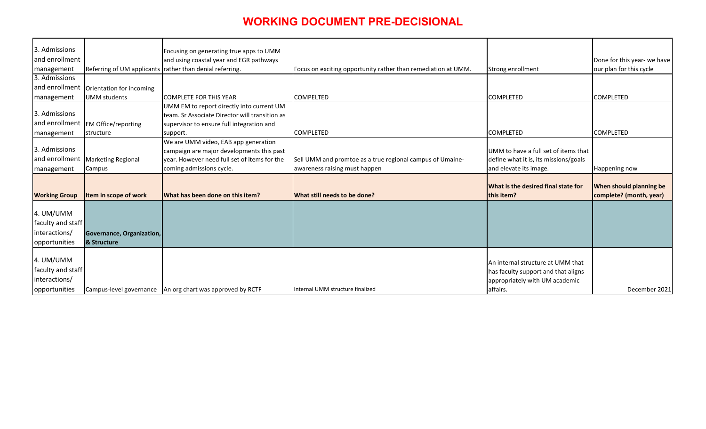| 3. Admissions        |                                           |                                                             |                                                               |                                       |                                |
|----------------------|-------------------------------------------|-------------------------------------------------------------|---------------------------------------------------------------|---------------------------------------|--------------------------------|
| and enrollment       |                                           | Focusing on generating true apps to UMM                     |                                                               |                                       |                                |
|                      |                                           | and using coastal year and EGR pathways                     |                                                               |                                       | Done for this year- we have    |
| management           |                                           | Referring of UM applicants rather than denial referring.    | Focus on exciting opportunity rather than remediation at UMM. | Strong enrollment                     | our plan for this cycle        |
| 3. Admissions        |                                           |                                                             |                                                               |                                       |                                |
|                      | and enrollment   Orientation for incoming |                                                             |                                                               |                                       |                                |
| management           | <b>UMM</b> students                       | <b>COMPLETE FOR THIS YEAR</b>                               | <b>COMPELTED</b>                                              | <b>COMPLETED</b>                      | <b>COMPLETED</b>               |
|                      |                                           | UMM EM to report directly into current UM                   |                                                               |                                       |                                |
| 3. Admissions        |                                           | team. Sr Associate Director will transition as              |                                                               |                                       |                                |
| and enrollment       | <b>EM Office/reporting</b>                | supervisor to ensure full integration and                   |                                                               |                                       |                                |
| management           | structure                                 | support.                                                    | <b>COMPLETED</b>                                              | <b>COMPLETED</b>                      | <b>COMPLETED</b>               |
|                      |                                           | We are UMM video, EAB app generation                        |                                                               |                                       |                                |
| 3. Admissions        |                                           | campaign are major developments this past                   |                                                               | UMM to have a full set of items that  |                                |
| and enrollment       | Marketing Regional                        | year. However need full set of items for the                | Sell UMM and promtoe as a true regional campus of Umaine-     | define what it is, its missions/goals |                                |
| management           | Campus                                    | coming admissions cycle.                                    | awareness raising must happen                                 | and elevate its image.                | Happening now                  |
|                      |                                           |                                                             |                                                               |                                       |                                |
|                      |                                           |                                                             |                                                               | What is the desired final state for   | <b>When should planning be</b> |
| <b>Working Group</b> | Item in scope of work                     | What has been done on this item?                            | <b>What still needs to be done?</b>                           | this item?                            | complete? (month, year)        |
| 4. UM/UMM            |                                           |                                                             |                                                               |                                       |                                |
| faculty and staff    |                                           |                                                             |                                                               |                                       |                                |
|                      |                                           |                                                             |                                                               |                                       |                                |
| interactions/        | Governance, Organization,                 |                                                             |                                                               |                                       |                                |
| opportunities        | & Structure                               |                                                             |                                                               |                                       |                                |
|                      |                                           |                                                             |                                                               |                                       |                                |
| 4. UM/UMM            |                                           |                                                             |                                                               | An internal structure at UMM that     |                                |
| faculty and staff    |                                           |                                                             |                                                               | has faculty support and that aligns   |                                |
| interactions/        |                                           |                                                             |                                                               | appropriately with UM academic        |                                |
| opportunities        |                                           | Campus-level governance   An org chart was approved by RCTF | Internal UMM structure finalized                              | affairs.                              | December 2021                  |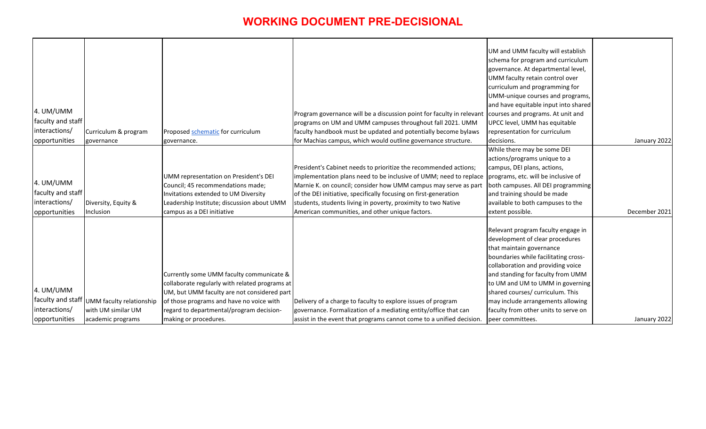|                   |                          |                                                |                                                                                                         | UM and UMM faculty will establish    |               |
|-------------------|--------------------------|------------------------------------------------|---------------------------------------------------------------------------------------------------------|--------------------------------------|---------------|
|                   |                          |                                                |                                                                                                         | schema for program and curriculum    |               |
|                   |                          |                                                |                                                                                                         | governance. At departmental level,   |               |
|                   |                          |                                                |                                                                                                         | UMM faculty retain control over      |               |
|                   |                          |                                                |                                                                                                         | curriculum and programming for       |               |
|                   |                          |                                                |                                                                                                         | UMM-unique courses and programs,     |               |
|                   |                          |                                                |                                                                                                         | and have equitable input into shared |               |
| 4. UM/UMM         |                          |                                                | Program governance will be a discussion point for faculty in relevant courses and programs. At unit and |                                      |               |
| faculty and staff |                          |                                                | programs on UM and UMM campuses throughout fall 2021. UMM                                               | UPCC level, UMM has equitable        |               |
| interactions/     | Curriculum & program     | Proposed schematic for curriculum              | faculty handbook must be updated and potentially become bylaws                                          | representation for curriculum        |               |
| opportunities     | governance               | governance.                                    | for Machias campus, which would outline governance structure.                                           | decisions.                           | January 2022  |
|                   |                          |                                                |                                                                                                         | While there may be some DEI          |               |
|                   |                          |                                                |                                                                                                         | actions/programs unique to a         |               |
|                   |                          |                                                | President's Cabinet needs to prioritize the recommended actions;                                        | campus, DEI plans, actions,          |               |
|                   |                          | UMM representation on President's DEI          | implementation plans need to be inclusive of UMM; need to replace                                       | programs, etc. will be inclusive of  |               |
| 4. UM/UMM         |                          | Council; 45 recommendations made;              | Marnie K. on council; consider how UMM campus may serve as part                                         | both campuses. All DEI programming   |               |
| faculty and staff |                          | Invitations extended to UM Diversity           | of the DEI initiative, specifically focusing on first-generation                                        | and training should be made          |               |
| interactions/     | Diversity, Equity &      | Leadership Institute; discussion about UMM     | students, students living in poverty, proximity to two Native                                           | available to both campuses to the    |               |
| opportunities     | Inclusion                | campus as a DEI initiative                     | American communities, and other unique factors.                                                         | extent possible.                     | December 2021 |
|                   |                          |                                                |                                                                                                         |                                      |               |
|                   |                          |                                                |                                                                                                         | Relevant program faculty engage in   |               |
|                   |                          |                                                |                                                                                                         | development of clear procedures      |               |
|                   |                          |                                                |                                                                                                         | that maintain governance             |               |
|                   |                          |                                                |                                                                                                         | boundaries while facilitating cross- |               |
|                   |                          |                                                |                                                                                                         | collaboration and providing voice    |               |
|                   |                          | Currently some UMM faculty communicate &       |                                                                                                         | and standing for faculty from UMM    |               |
|                   |                          | collaborate regularly with related programs at |                                                                                                         | to UM and UM to UMM in governing     |               |
| 4. UM/UMM         |                          | UM, but UMM faculty are not considered part    |                                                                                                         | shared courses/ curriculum. This     |               |
| faculty and staff | UMM faculty relationship | of those programs and have no voice with       | Delivery of a charge to faculty to explore issues of program                                            | may include arrangements allowing    |               |
| interactions/     | with UM similar UM       | regard to departmental/program decision-       | governance. Formalization of a mediating entity/office that can                                         | faculty from other units to serve on |               |
| opportunities     | academic programs        | making or procedures.                          | assist in the event that programs cannot come to a unified decision.                                    | peer committees.                     | January 2022  |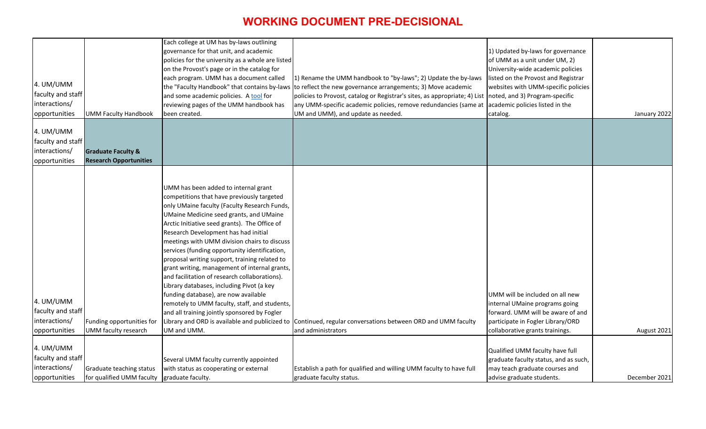| 4. UM/UMM<br>faculty and staff<br>interactions/<br><b>Graduate Faculty &amp;</b><br><b>Research Opportunities</b><br>opportunities                                                                                                                                                                                                                                                                                                                                                                                                                                                                                                                                                                                                                                                                                                                                                                                                                                                                                                                                                                                                                                              | January 2022  |
|---------------------------------------------------------------------------------------------------------------------------------------------------------------------------------------------------------------------------------------------------------------------------------------------------------------------------------------------------------------------------------------------------------------------------------------------------------------------------------------------------------------------------------------------------------------------------------------------------------------------------------------------------------------------------------------------------------------------------------------------------------------------------------------------------------------------------------------------------------------------------------------------------------------------------------------------------------------------------------------------------------------------------------------------------------------------------------------------------------------------------------------------------------------------------------|---------------|
|                                                                                                                                                                                                                                                                                                                                                                                                                                                                                                                                                                                                                                                                                                                                                                                                                                                                                                                                                                                                                                                                                                                                                                                 |               |
| UMM has been added to internal grant<br>competitions that have previously targeted<br>only UMaine faculty (Faculty Research Funds,<br>UMaine Medicine seed grants, and UMaine<br>Arctic Initiative seed grants). The Office of<br>Research Development has had initial<br>meetings with UMM division chairs to discuss<br>services (funding opportunity identification,<br>proposal writing support, training related to<br>grant writing, management of internal grants,<br>and facilitation of research collaborations).<br>Library databases, including Pivot (a key<br>funding database), are now available<br>UMM will be included on all new<br>4. UM/UMM<br>remotely to UMM faculty, staff, and students,<br>internal UMaine programs going<br>faculty and staff<br>and all training jointly sponsored by Fogler<br>forward. UMM will be aware of and<br>interactions/<br>Library and ORD is available and publicized to Continued, regular conversations between ORD and UMM faculty<br>participate in Fogler Library/ORD<br>Funding opportunities for<br>UMM faculty research<br>UM and UMM.<br>and administrators<br>collaborative grants trainings.<br>opportunities | August 2021   |
| 4. UM/UMM<br>Qualified UMM faculty have full                                                                                                                                                                                                                                                                                                                                                                                                                                                                                                                                                                                                                                                                                                                                                                                                                                                                                                                                                                                                                                                                                                                                    |               |
| faculty and staff<br>Several UMM faculty currently appointed<br>graduate faculty status, and as such,                                                                                                                                                                                                                                                                                                                                                                                                                                                                                                                                                                                                                                                                                                                                                                                                                                                                                                                                                                                                                                                                           |               |
| interactions/<br>with status as cooperating or external<br>Establish a path for qualified and willing UMM faculty to have full<br>may teach graduate courses and<br>Graduate teaching status<br>advise graduate students.<br>for qualified UMM faculty<br>graduate faculty.<br>graduate faculty status.<br>opportunities                                                                                                                                                                                                                                                                                                                                                                                                                                                                                                                                                                                                                                                                                                                                                                                                                                                        | December 2021 |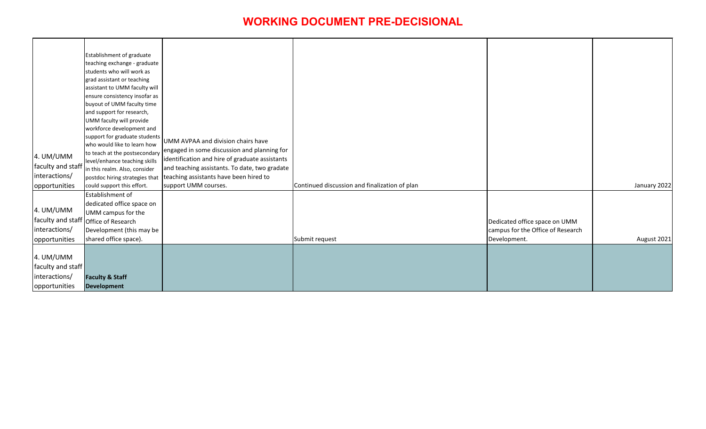|                   | Establishment of graduate                                      |                                                |                                               |                                   |              |
|-------------------|----------------------------------------------------------------|------------------------------------------------|-----------------------------------------------|-----------------------------------|--------------|
|                   | teaching exchange - graduate                                   |                                                |                                               |                                   |              |
|                   | students who will work as                                      |                                                |                                               |                                   |              |
|                   | grad assistant or teaching                                     |                                                |                                               |                                   |              |
|                   | assistant to UMM faculty will                                  |                                                |                                               |                                   |              |
|                   | ensure consistency insofar as                                  |                                                |                                               |                                   |              |
|                   | buyout of UMM faculty time                                     |                                                |                                               |                                   |              |
|                   | and support for research,                                      |                                                |                                               |                                   |              |
|                   | UMM faculty will provide                                       |                                                |                                               |                                   |              |
|                   | workforce development and                                      |                                                |                                               |                                   |              |
|                   | support for graduate students                                  | UMM AVPAA and division chairs have             |                                               |                                   |              |
|                   | who would like to learn how                                    | engaged in some discussion and planning for    |                                               |                                   |              |
| 4. UM/UMM         | to teach at the postsecondary                                  | identification and hire of graduate assistants |                                               |                                   |              |
| faculty and staff | level/enhance teaching skills<br>in this realm. Also, consider | and teaching assistants. To date, two gradate  |                                               |                                   |              |
| interactions/     | postdoc hiring strategies that                                 | teaching assistants have been hired to         |                                               |                                   |              |
| opportunities     | could support this effort.                                     | support UMM courses.                           | Continued discussion and finalization of plan |                                   | January 2022 |
|                   | Establishment of                                               |                                                |                                               |                                   |              |
|                   | dedicated office space on                                      |                                                |                                               |                                   |              |
| 4. UM/UMM         | UMM campus for the                                             |                                                |                                               |                                   |              |
|                   | faculty and staff office of Research                           |                                                |                                               | Dedicated office space on UMM     |              |
| interactions/     | Development (this may be                                       |                                                |                                               | campus for the Office of Research |              |
|                   | shared office space).                                          |                                                | Submit request                                | Development.                      | August 2021  |
| opportunities     |                                                                |                                                |                                               |                                   |              |
| 4. UM/UMM         |                                                                |                                                |                                               |                                   |              |
| faculty and staff |                                                                |                                                |                                               |                                   |              |
| interactions/     | <b>Faculty &amp; Staff</b>                                     |                                                |                                               |                                   |              |
| opportunities     | <b>Development</b>                                             |                                                |                                               |                                   |              |
|                   |                                                                |                                                |                                               |                                   |              |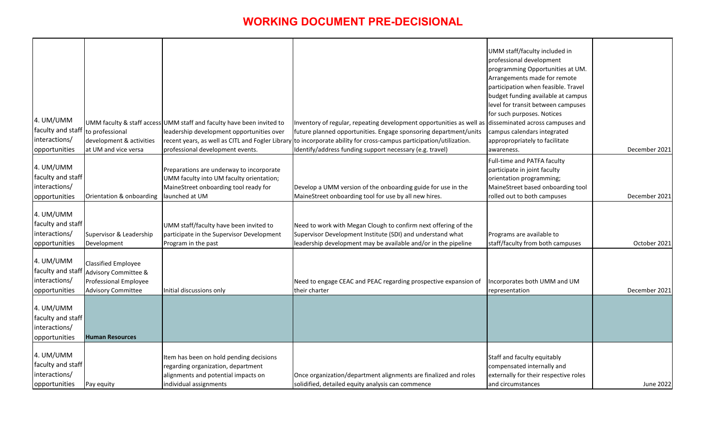| 4. UM/UMM<br>faculty and staff<br>interactions/<br>opportunities | to professional<br>development & activities<br>at UM and vice versa                                                        | UMM faculty & staff access UMM staff and faculty have been invited to<br>leadership development opportunities over<br>professional development events. | Inventory of regular, repeating development opportunities as well as  disseminated across campuses and<br>future planned opportunities. Engage sponsoring department/units<br>recent years, as well as CITL and Fogler Library to incorporate ability for cross-campus participation/utilization.<br>Identify/address funding support necessary (e.g. travel) | UMM staff/faculty included in<br>professional development<br>programming Opportunities at UM.<br>Arrangements made for remote<br>participation when feasible. Travel<br>budget funding available at campus<br>level for transit between campuses<br>for such purposes. Notices<br>campus calendars integrated<br>appropropriately to facilitate<br>awareness. | December 2021 |
|------------------------------------------------------------------|----------------------------------------------------------------------------------------------------------------------------|--------------------------------------------------------------------------------------------------------------------------------------------------------|---------------------------------------------------------------------------------------------------------------------------------------------------------------------------------------------------------------------------------------------------------------------------------------------------------------------------------------------------------------|---------------------------------------------------------------------------------------------------------------------------------------------------------------------------------------------------------------------------------------------------------------------------------------------------------------------------------------------------------------|---------------|
| 4. UM/UMM<br>faculty and staff<br>interactions/<br>opportunities | Orientation & onboarding                                                                                                   | Preparations are underway to incorporate<br>UMM faculty into UM faculty orientation;<br>MaineStreet onboarding tool ready for<br>launched at UM        | Develop a UMM version of the onboarding guide for use in the<br>MaineStreet onboarding tool for use by all new hires.                                                                                                                                                                                                                                         | Full-time and PATFA faculty<br>participate in joint faculty<br>orientation programming;<br>MaineStreet based onboarding tool<br>rolled out to both campuses                                                                                                                                                                                                   | December 2021 |
| 4. UM/UMM<br>faculty and staff<br>interactions/<br>opportunities | Supervisor & Leadership<br>Development                                                                                     | UMM staff/faculty have been invited to<br>participate in the Supervisor Development<br>Program in the past                                             | Need to work with Megan Clough to confirm next offering of the<br>Supervisor Development Institute (SDI) and understand what<br>leadership development may be available and/or in the pipeline                                                                                                                                                                | Programs are available to<br>staff/faculty from both campuses                                                                                                                                                                                                                                                                                                 | October 2021  |
| 4. UM/UMM<br>faculty and staff<br>interactions/<br>opportunities | <b>Classified Employee</b><br><b>Advisory Committee &amp;</b><br><b>Professional Employee</b><br><b>Advisory Committee</b> | Initial discussions only                                                                                                                               | Need to engage CEAC and PEAC regarding prospective expansion of<br>their charter                                                                                                                                                                                                                                                                              | ncorporates both UMM and UM<br>representation                                                                                                                                                                                                                                                                                                                 | December 2021 |
| 4. UM/UMM<br>faculty and staff<br>interactions/<br>opportunities | <b>Human Resources</b>                                                                                                     |                                                                                                                                                        |                                                                                                                                                                                                                                                                                                                                                               |                                                                                                                                                                                                                                                                                                                                                               |               |
| 4. UM/UMM<br>faculty and staff<br>interactions/<br>opportunities | Pay equity                                                                                                                 | Item has been on hold pending decisions<br>regarding organization, department<br>alignments and potential impacts on<br>individual assignments         | Once organization/department alignments are finalized and roles<br>solidified, detailed equity analysis can commence                                                                                                                                                                                                                                          | Staff and faculty equitably<br>compensated internally and<br>externally for their respective roles<br>and circumstances                                                                                                                                                                                                                                       | June 2022     |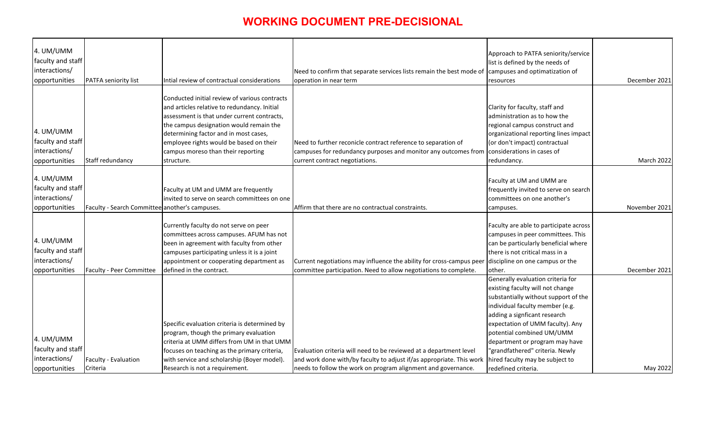| 4. UM/UMM         |                                                |                                               |                                                                                                       |                                                                        |               |
|-------------------|------------------------------------------------|-----------------------------------------------|-------------------------------------------------------------------------------------------------------|------------------------------------------------------------------------|---------------|
| faculty and staff |                                                |                                               |                                                                                                       | Approach to PATFA seniority/service<br>list is defined by the needs of |               |
| interactions/     |                                                |                                               | Need to confirm that separate services lists remain the best mode of                                  | campuses and optimatization of                                         |               |
| opportunities     | <b>PATFA seniority list</b>                    | Intial review of contractual considerations   | operation in near term                                                                                | resources                                                              | December 2021 |
|                   |                                                |                                               |                                                                                                       |                                                                        |               |
|                   |                                                | Conducted initial review of various contracts |                                                                                                       |                                                                        |               |
|                   |                                                | and articles relative to redundancy. Initial  |                                                                                                       | Clarity for faculty, staff and                                         |               |
|                   |                                                | assessment is that under current contracts,   |                                                                                                       | administration as to how the                                           |               |
|                   |                                                | the campus designation would remain the       |                                                                                                       | regional campus construct and                                          |               |
| 4. UM/UMM         |                                                | determining factor and in most cases,         |                                                                                                       | organizational reporting lines impact                                  |               |
| faculty and staff |                                                | employee rights would be based on their       | Need to further reconicle contract reference to separation of                                         | (or don't impact) contractual                                          |               |
| interactions/     |                                                | campus moreso than their reporting            | campuses for redundancy purposes and monitor any outcomes from                                        | considerations in cases of                                             |               |
| opportunities     | Staff redundancy                               | structure.                                    | current contract negotiations.                                                                        | redundancy.                                                            | March 2022    |
|                   |                                                |                                               |                                                                                                       |                                                                        |               |
| 4. UM/UMM         |                                                |                                               |                                                                                                       | Faculty at UM and UMM are                                              |               |
| faculty and staff |                                                | Faculty at UM and UMM are frequently          |                                                                                                       | frequently invited to serve on search                                  |               |
| interactions/     |                                                | invited to serve on search committees on one  |                                                                                                       | committees on one another's                                            |               |
| opportunities     | Faculty - Search Committee another's campuses. |                                               | Affirm that there are no contractual constraints.                                                     | campuses.                                                              | November 2021 |
|                   |                                                |                                               |                                                                                                       |                                                                        |               |
|                   |                                                | Currently faculty do not serve on peer        |                                                                                                       | Faculty are able to participate across                                 |               |
|                   |                                                | committees across campuses. AFUM has not      |                                                                                                       | campuses in peer committees. This                                      |               |
| 4. UM/UMM         |                                                | been in agreement with faculty from other     |                                                                                                       | can be particularly beneficial where                                   |               |
| faculty and staff |                                                | campuses participating unless it is a joint   |                                                                                                       | there is not critical mass in a                                        |               |
| interactions/     |                                                | appointment or cooperating department as      | Current negotiations may influence the ability for cross-campus peer diiscipline on one campus or the |                                                                        |               |
| opportunities     | Faculty - Peer Committee                       | defined in the contract.                      | committee participation. Need to allow negotiations to complete.                                      | other.                                                                 | December 2021 |
|                   |                                                |                                               |                                                                                                       | Generally evaluation criteria for                                      |               |
|                   |                                                |                                               |                                                                                                       | existing faculty will not change                                       |               |
|                   |                                                |                                               |                                                                                                       | substantially without support of the                                   |               |
|                   |                                                |                                               |                                                                                                       | individual faculty member (e.g.                                        |               |
|                   |                                                |                                               |                                                                                                       | adding a signficant research                                           |               |
|                   |                                                | Specific evaluation criteria is determined by |                                                                                                       | expectation of UMM faculty). Any                                       |               |
| 4. UM/UMM         |                                                | program, though the primary evaluation        |                                                                                                       | potential combined UM/UMM                                              |               |
|                   |                                                | criteria at UMM differs from UM in that UMM   |                                                                                                       | department or program may have                                         |               |
| faculty and staff |                                                | focuses on teaching as the primary criteria,  | Evaluation criteria will need to be reviewed at a department level                                    | "grandfathered" criteria. Newly                                        |               |
| interactions/     | Faculty - Evaluation                           | with service and scholarship (Boyer model).   | and work done with/by faculty to adjust if/as appropriate. This work                                  | hired faculty may be subject to                                        |               |
| opportunities     | Criteria                                       | Research is not a requirement.                | needs to follow the work on program alignment and governance.                                         | redefined criteria.                                                    | May 2022      |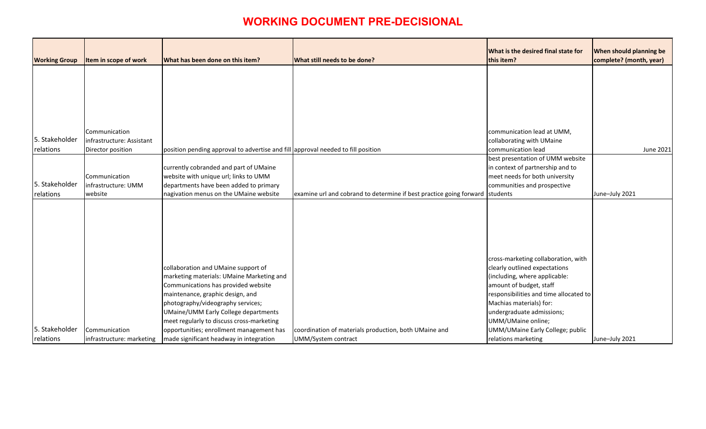| What is the desired final state for<br>this item? | When should planning be<br>complete? (month, year) |
|---------------------------------------------------|----------------------------------------------------|
|                                                   |                                                    |
|                                                   |                                                    |
|                                                   |                                                    |
|                                                   |                                                    |
|                                                   |                                                    |
|                                                   |                                                    |
| communication lead at UMM,                        |                                                    |
| collaborating with UMaine                         |                                                    |
| communication lead                                | June 2021                                          |
| best presentation of UMM website                  |                                                    |
| in context of partnership and to                  |                                                    |
| meet needs for both university                    |                                                    |
| communities and prospective                       |                                                    |
| students                                          | June-July 2021                                     |
|                                                   |                                                    |
|                                                   |                                                    |
|                                                   |                                                    |
|                                                   |                                                    |
|                                                   |                                                    |
|                                                   |                                                    |
| cross-marketing collaboration, with               |                                                    |
| clearly outlined expectations                     |                                                    |
| (including, where applicable:                     |                                                    |
| amount of budget, staff                           |                                                    |
| responsibilities and time allocated to            |                                                    |
| Machias materials) for:                           |                                                    |
| undergraduate admissions;                         |                                                    |
| UMM/UMaine online;                                |                                                    |
| UMM/UMaine Early College; public                  |                                                    |
| relations marketing                               | June-July 2021                                     |

| <b>Working Group</b> | Item in scope of work     | What has been done on this item?                                                 | What still needs to be done?                                                 | What is the desired final state for<br>this item? |
|----------------------|---------------------------|----------------------------------------------------------------------------------|------------------------------------------------------------------------------|---------------------------------------------------|
|                      |                           |                                                                                  |                                                                              |                                                   |
|                      |                           |                                                                                  |                                                                              |                                                   |
|                      |                           |                                                                                  |                                                                              |                                                   |
|                      |                           |                                                                                  |                                                                              |                                                   |
|                      | Communication             |                                                                                  |                                                                              | communication lead at UMM,                        |
| 5. Stakeholder       | infrastructure: Assistant |                                                                                  |                                                                              | collaborating with UMaine                         |
| relations            | Director position         | position pending approval to advertise and fill approval needed to fill position |                                                                              | communication lead                                |
|                      |                           |                                                                                  |                                                                              | best presentation of UMM website                  |
|                      |                           | currently cobranded and part of UMaine                                           |                                                                              | in context of partnership and to                  |
|                      | Communication             | website with unique url; links to UMM                                            |                                                                              | meet needs for both university                    |
| 5. Stakeholder       | infrastructure: UMM       | departments have been added to primary                                           |                                                                              | communities and prospective                       |
| relations            | website                   | nagivation menus on the UMaine website                                           | examine url and cobrand to determine if best practice going forward students |                                                   |
|                      |                           |                                                                                  |                                                                              |                                                   |
|                      |                           |                                                                                  |                                                                              |                                                   |
|                      |                           |                                                                                  |                                                                              |                                                   |
|                      |                           |                                                                                  |                                                                              |                                                   |
|                      |                           |                                                                                  |                                                                              |                                                   |
|                      |                           |                                                                                  |                                                                              |                                                   |
|                      |                           |                                                                                  |                                                                              | cross-marketing collaboration, with               |
|                      |                           | collaboration and UMaine support of                                              |                                                                              | clearly outlined expectations                     |
|                      |                           | marketing materials: UMaine Marketing and                                        |                                                                              | (including, where applicable:                     |
|                      |                           | Communications has provided website                                              |                                                                              | amount of budget, staff                           |
|                      |                           | maintenance, graphic design, and                                                 |                                                                              | responsibilities and time allocated to            |
|                      |                           | photography/videography services;                                                |                                                                              | Machias materials) for:                           |
|                      |                           | <b>UMaine/UMM Early College departments</b>                                      |                                                                              | undergraduate admissions;                         |
|                      |                           | meet regularly to discuss cross-marketing                                        |                                                                              | UMM/UMaine online;                                |
| 5. Stakeholder       | Communication             | opportunities; enrollment management has                                         | coordination of materials production, both UMaine and                        | UMM/UMaine Early College; public                  |
| relations            | infrastructure: marketing | made significant headway in integration                                          | UMM/System contract                                                          | relations marketing                               |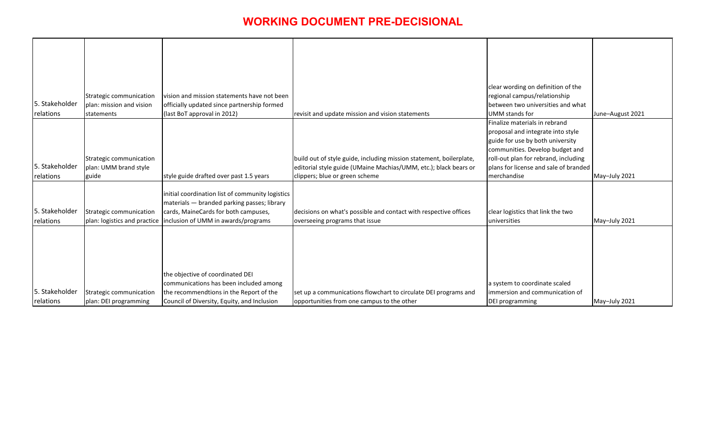|                |                              |                                                  |                                                                     | clear wording on definition of the    |                  |
|----------------|------------------------------|--------------------------------------------------|---------------------------------------------------------------------|---------------------------------------|------------------|
|                | Strategic communication      | vision and mission statements have not been      |                                                                     | regional campus/relationship          |                  |
| 5. Stakeholder | plan: mission and vision     | officially updated since partnership formed      |                                                                     | between two universities and what     |                  |
| relations      | statements                   | (last BoT approval in 2012)                      | revisit and update mission and vision statements                    | <b>UMM</b> stands for                 | June-August 2021 |
|                |                              |                                                  |                                                                     | Finalize materials in rebrand         |                  |
|                |                              |                                                  |                                                                     | proposal and integrate into style     |                  |
|                |                              |                                                  |                                                                     | guide for use by both university      |                  |
|                |                              |                                                  |                                                                     | communities. Develop budget and       |                  |
|                | Strategic communication      |                                                  | build out of style guide, including mission statement, boilerplate, | roll-out plan for rebrand, including  |                  |
| 5. Stakeholder | plan: UMM brand style        |                                                  | editorial style guide (UMaine Machias/UMM, etc.); black bears or    | plans for license and sale of branded |                  |
| relations      | guide                        | style guide drafted over past 1.5 years          | clippers; blue or green scheme                                      | merchandise                           | May-July 2021    |
|                |                              |                                                  |                                                                     |                                       |                  |
|                |                              | initial coordination list of community logistics |                                                                     |                                       |                  |
|                |                              | materials - branded parking passes; library      |                                                                     |                                       |                  |
| 5. Stakeholder | Strategic communication      | cards, MaineCards for both campuses,             | decisions on what's possible and contact with respective offices    | clear logistics that link the two     |                  |
| relations      | plan: logistics and practice | inclusion of UMM in awards/programs              | overseeing programs that issue                                      | universities                          | May-July 2021    |
|                |                              |                                                  |                                                                     |                                       |                  |
|                |                              |                                                  |                                                                     |                                       |                  |
|                |                              |                                                  |                                                                     |                                       |                  |
|                |                              |                                                  |                                                                     |                                       |                  |
|                |                              |                                                  |                                                                     |                                       |                  |
|                |                              | the objective of coordinated DEI                 |                                                                     |                                       |                  |
|                |                              | communications has been included among           |                                                                     | a system to coordinate scaled         |                  |
| 5. Stakeholder | Strategic communication      | the recommendtions in the Report of the          | set up a communications flowchart to circulate DEI programs and     | immersion and communication of        |                  |
| relations      | plan: DEI programming        | Council of Diversity, Equity, and Inclusion      | opportunities from one campus to the other                          | <b>DEI</b> programming                | May-July 2021    |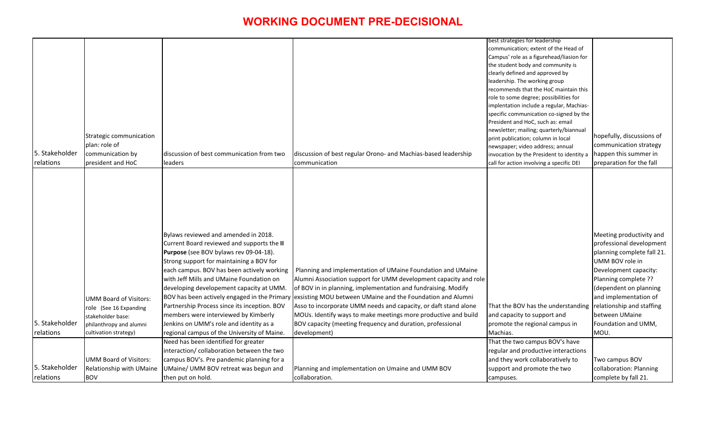| communication; extent of the Head of<br>Campus' role as a figurehead/liasion for<br>the student body and community is<br>clearly defined and approved by<br>leadership. The working group<br>recommends that the HoC maintain this<br>role to some degree; possibilities for |  |  |                                          |                            |
|------------------------------------------------------------------------------------------------------------------------------------------------------------------------------------------------------------------------------------------------------------------------------|--|--|------------------------------------------|----------------------------|
|                                                                                                                                                                                                                                                                              |  |  |                                          |                            |
|                                                                                                                                                                                                                                                                              |  |  |                                          |                            |
|                                                                                                                                                                                                                                                                              |  |  |                                          |                            |
|                                                                                                                                                                                                                                                                              |  |  |                                          |                            |
|                                                                                                                                                                                                                                                                              |  |  |                                          |                            |
|                                                                                                                                                                                                                                                                              |  |  |                                          |                            |
|                                                                                                                                                                                                                                                                              |  |  |                                          |                            |
|                                                                                                                                                                                                                                                                              |  |  | implentation include a regular, Machias- |                            |
| specific communication co-signed by the                                                                                                                                                                                                                                      |  |  |                                          |                            |
| President and HoC, such as: email                                                                                                                                                                                                                                            |  |  |                                          |                            |
| newsletter; mailing; quarterly/biannual<br>Strategic communication                                                                                                                                                                                                           |  |  |                                          | hopefully, discussions of  |
| print publication; column in local<br>plan: role of                                                                                                                                                                                                                          |  |  |                                          | communication strategy     |
| newspaper; video address; annual<br>5. Stakeholder<br>communication by<br>discussion of best communication from two<br>discussion of best regular Orono- and Machias-based leadership                                                                                        |  |  |                                          | happen this summer in      |
| invocation by the President to identity a<br>president and HoC<br>call for action involving a specific DEI<br>communication                                                                                                                                                  |  |  |                                          |                            |
| relations<br>leaders                                                                                                                                                                                                                                                         |  |  |                                          | preparation for the fall   |
|                                                                                                                                                                                                                                                                              |  |  |                                          |                            |
|                                                                                                                                                                                                                                                                              |  |  |                                          |                            |
|                                                                                                                                                                                                                                                                              |  |  |                                          |                            |
|                                                                                                                                                                                                                                                                              |  |  |                                          |                            |
|                                                                                                                                                                                                                                                                              |  |  |                                          |                            |
|                                                                                                                                                                                                                                                                              |  |  |                                          |                            |
|                                                                                                                                                                                                                                                                              |  |  |                                          |                            |
| Bylaws reviewed and amended in 2018.                                                                                                                                                                                                                                         |  |  |                                          | Meeting productivity and   |
| Current Board reviewed and supports the II                                                                                                                                                                                                                                   |  |  |                                          | professional development   |
| Purpose (see BOV bylaws rev 09-04-18).                                                                                                                                                                                                                                       |  |  |                                          | planning complete fall 21. |
| UMM BOV role in<br>Strong support for maintaining a BOV for                                                                                                                                                                                                                  |  |  |                                          |                            |
| each campus. BOV has been actively working<br>Planning and implementation of UMaine Foundation and UMaine                                                                                                                                                                    |  |  |                                          | Development capacity:      |
| with Jeff Mills and UMaine Foundation on<br>Alumni Association support for UMM development capacity and role<br>Planning complete ??                                                                                                                                         |  |  |                                          |                            |
| of BOV in in planning, implementation and fundraising. Modify<br>developing developement capacity at UMM.                                                                                                                                                                    |  |  |                                          | (dependent on planning     |
| BOV has been actively engaged in the Primary exsisting MOU between UMaine and the Foundation and Alumni<br><b>UMM Board of Visitors:</b>                                                                                                                                     |  |  |                                          | and implementation of      |
| Partnership Process since its inception. BOV<br>Asso to incorporate UMM needs and capacity, or daft stand alone<br>That the BOV has the understanding relationship and staffing<br>role (See 16 Expanding                                                                    |  |  |                                          |                            |
| members were interviewed by Kimberly<br>MOUs. Identify ways to make meetings more productive and build<br>and capacity to support and<br>between UMaine<br>stakeholder base:                                                                                                 |  |  |                                          |                            |
| 5. Stakeholder<br>Jenkins on UMM's role and identity as a<br>BOV capacity (meeting frequency and duration, professional<br>Foundation and UMM,<br>promote the regional campus in<br>philanthropy and alumni                                                                  |  |  |                                          |                            |
| regional campus of the University of Maine.<br>relations<br>cultivation strategy)<br>development)<br>Machias.<br>MOU.                                                                                                                                                        |  |  |                                          |                            |
| Need has been identified for greater<br>That the two campus BOV's have                                                                                                                                                                                                       |  |  |                                          |                            |
| interaction/ collaboration between the two<br>regular and productive interactions                                                                                                                                                                                            |  |  |                                          |                            |
| and they work collaboratively to<br><b>UMM Board of Visitors:</b><br>campus BOV's. Pre pandemic planning for a<br>Two campus BOV                                                                                                                                             |  |  |                                          |                            |
| 5. Stakeholder<br>Relationship with UMaine<br>UMaine/ UMM BOV retreat was begun and<br>support and promote the two<br>Planning and implementation on Umaine and UMM BOV                                                                                                      |  |  |                                          | collaboration: Planning    |
| then put on hold.<br>complete by fall 21.<br><b>BOV</b><br>collaboration.<br>relations<br>campuses.                                                                                                                                                                          |  |  |                                          |                            |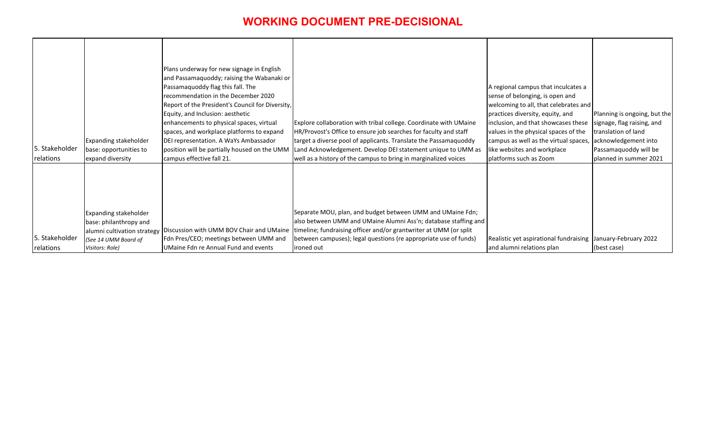| 5. Stakeholder<br>relations | <b>Expanding stakeholder</b><br>base: opportunities to<br>expand diversity                                                       | Plans underway for new signage in English<br>and Passamaquoddy; raising the Wabanaki or<br>Passamaquoddy flag this fall. The<br>recommendation in the December 2020<br>Report of the President's Council for Diversity,<br>Equity, and Inclusion: aesthetic<br>enhancements to physical spaces, virtual<br>spaces, and workplace platforms to expand<br>DEI representation. A WaYs Ambassador<br>position will be partially housed on the UMM<br>campus effective fall 21. | Explore collaboration with tribal college. Coordinate with UMaine<br>HR/Provost's Office to ensure job searches for faculty and staff<br>target a diverse pool of applicants. Translate the Passamaquoddy<br>Land Acknowledgement. Develop DEI statement unique to UMM as<br>well as a history of the campus to bring in marginalized voices | A regional campus that inculcates a<br>sense of belonging, is open and<br>welcoming to all, that celebrates and<br>practices diversity, equity, and<br>inclusion, and that showcases these<br>values in the physical spaces of the<br>campus as well as the virtual spaces,<br>like websites and workplace<br>platforms such as Zoom | Planning is ongoing, but the<br>signage, flag raising, and<br>translation of land<br>acknowledgement into<br>Passamaquoddy will be<br>planned in summer 2021 |
|-----------------------------|----------------------------------------------------------------------------------------------------------------------------------|----------------------------------------------------------------------------------------------------------------------------------------------------------------------------------------------------------------------------------------------------------------------------------------------------------------------------------------------------------------------------------------------------------------------------------------------------------------------------|----------------------------------------------------------------------------------------------------------------------------------------------------------------------------------------------------------------------------------------------------------------------------------------------------------------------------------------------|--------------------------------------------------------------------------------------------------------------------------------------------------------------------------------------------------------------------------------------------------------------------------------------------------------------------------------------|--------------------------------------------------------------------------------------------------------------------------------------------------------------|
| 5. Stakeholder<br>relations | <b>Expanding stakeholder</b><br>base: philanthropy and<br>alumni cultivation strategy<br>(See 14 UMM Board of<br>Visitors: Role) | Discussion with UMM BOV Chair and UMaine<br>Fdn Pres/CEO; meetings between UMM and<br>UMaine Fdn re Annual Fund and events                                                                                                                                                                                                                                                                                                                                                 | Separate MOU, plan, and budget between UMM and UMaine Fdn;<br>also between UMM and UMaine Alumni Ass'n; database staffing and<br>timeline; fundraising officer and/or grantwriter at UMM (or split<br>between campuses); legal questions (re appropriate use of funds)<br>ironed out                                                         | Realistic yet aspirational fundraising January-February 2022<br>and alumni relations plan                                                                                                                                                                                                                                            | (best case)                                                                                                                                                  |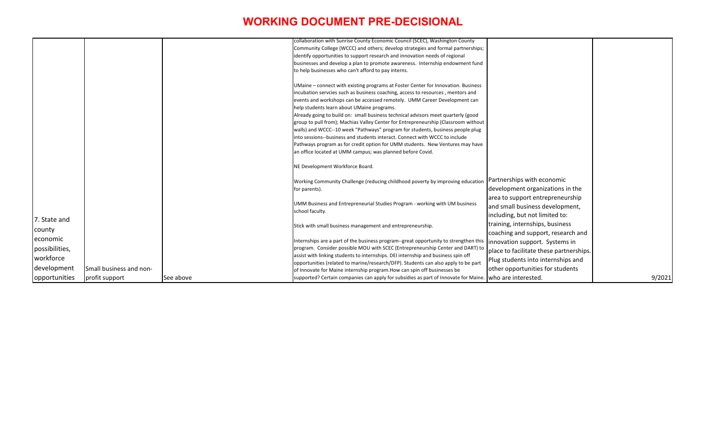|                |                         |           | collaboration with Sunrise County Economic Council (SCEC), Washington County                                                                                         |                                         |        |
|----------------|-------------------------|-----------|----------------------------------------------------------------------------------------------------------------------------------------------------------------------|-----------------------------------------|--------|
|                |                         |           | Community College (WCCC) and others; develop strategies and formal partnerships;                                                                                     |                                         |        |
|                |                         |           | identify opportunities to support research and innovation needs of regional                                                                                          |                                         |        |
|                |                         |           | businesses and develop a plan to promote awareness. Internship endowment fund                                                                                        |                                         |        |
|                |                         |           | to help businesses who can't afford to pay interns.                                                                                                                  |                                         |        |
|                |                         |           |                                                                                                                                                                      |                                         |        |
|                |                         |           | UMaine – connect with existing programs at Foster Center for Innovation. Business<br>incubation servcies such as business coaching, access to resources, mentors and |                                         |        |
|                |                         |           | events and workshops can be accessed remotely. UMM Career Development can                                                                                            |                                         |        |
|                |                         |           | help students learn about UMaine programs.                                                                                                                           |                                         |        |
|                |                         |           | Already going to build on: small business technical advisors meet quarterly (good                                                                                    |                                         |        |
|                |                         |           | group to pull from); Machias Valley Center for Entrepreneurship (Classroom without                                                                                   |                                         |        |
|                |                         |           | walls) and WCCC--10 week "Pathways" program for students, business people plug                                                                                       |                                         |        |
|                |                         |           | into sessions--business and students interact. Connect with WCCC to include                                                                                          |                                         |        |
|                |                         |           | Pathways program as for credit option for UMM students. New Ventures may have                                                                                        |                                         |        |
|                |                         |           | an office located at UMM campus; was planned before Covid.                                                                                                           |                                         |        |
|                |                         |           |                                                                                                                                                                      |                                         |        |
|                |                         |           | NE Development Workforce Board.                                                                                                                                      |                                         |        |
|                |                         |           | Working Community Challenge (reducing childhood poverty by improving education                                                                                       | Partnerships with economic              |        |
|                |                         |           | for parents).                                                                                                                                                        | development organizations in the        |        |
|                |                         |           |                                                                                                                                                                      | area to support entrepreneurship        |        |
|                |                         |           | UMM Business and Entrepreneurial Studies Program - working with UM business                                                                                          | and small business development,         |        |
|                |                         |           | school faculty.                                                                                                                                                      | including, but not limited to:          |        |
| 7. State and   |                         |           |                                                                                                                                                                      | training, internships, business         |        |
| county         |                         |           | Stick with small business management and entrepreneurship.                                                                                                           | coaching and support, research and      |        |
| economic       |                         |           | Internships are a part of the business program--great opportunity to strengthen this $ $ innovation support. Systems in                                              |                                         |        |
| possibilities, |                         |           | program. Consider possible MOU with SCEC (Entrepreneurship Center and DART) to                                                                                       |                                         |        |
|                |                         |           | assist with linking students to internships. DEI internship and business spin off                                                                                    | place to facilitate these partnerships. |        |
| workforce      |                         |           | opportunities (related to marine/research/DFP). Students can also apply to be part                                                                                   | Plug students into internships and      |        |
| development    | Small business and non- |           | of Innovate for Maine internship program. How can spin off businesses be                                                                                             | other opportunities for students        |        |
| opportunities  | profit support          | See above | supported? Certain companies can apply for subsidies as part of Innovate for Maine. who are interested.                                                              |                                         | 9/2021 |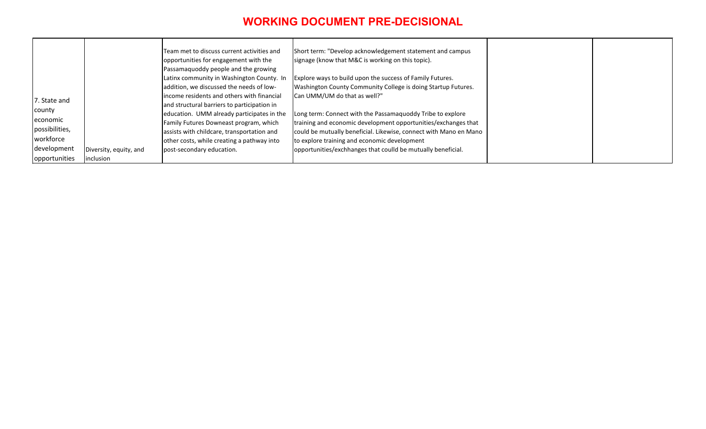| 7. State and                                                                      |                                     | Team met to discuss current activities and<br>opportunities for engagement with the<br>Passamaquoddy people and the growing<br>Latinx community in Washington County. In<br>addition, we discussed the needs of low-<br>lincome residents and others with financial<br>and structural barriers to participation in | Short term: "Develop acknowledgement statement and campus<br>signage (know that M&C is working on this topic).<br>Explore ways to build upon the success of Family Futures.<br>Washington County Community College is doing Startup Futures.<br>Can UMM/UM do that as well?"                                      |  |
|-----------------------------------------------------------------------------------|-------------------------------------|--------------------------------------------------------------------------------------------------------------------------------------------------------------------------------------------------------------------------------------------------------------------------------------------------------------------|-------------------------------------------------------------------------------------------------------------------------------------------------------------------------------------------------------------------------------------------------------------------------------------------------------------------|--|
| county<br>economic<br>possibilities,<br>workforce<br>development<br>opportunities | Diversity, equity, and<br>inclusion | education. UMM already participates in the<br>Family Futures Downeast program, which<br>assists with childcare, transportation and<br>other costs, while creating a pathway into<br>post-secondary education.                                                                                                      | Long term: Connect with the Passamaquoddy Tribe to explore<br>training and economic development opportunities/exchanges that<br>could be mutually beneficial. Likewise, connect with Mano en Mano<br>to explore training and economic development<br>opportunities/exchhanges that coulld be mutually beneficial. |  |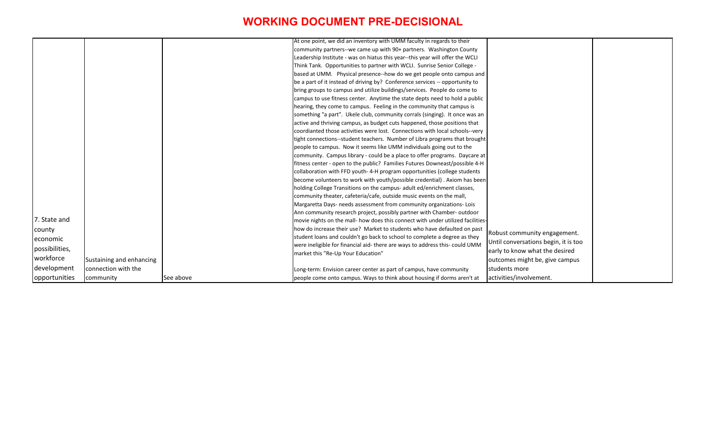|                 |                          |           | At one point, we did an inventory with UMM faculty in regards to their          |                      |
|-----------------|--------------------------|-----------|---------------------------------------------------------------------------------|----------------------|
|                 |                          |           | community partners--we came up with 90+ partners. Washington County             |                      |
|                 |                          |           | Leadership Institute - was on hiatus this year--this year will offer the WCLI   |                      |
|                 |                          |           | Think Tank. Opportunities to partner with WCLI. Sunrise Senior College -        |                      |
|                 |                          |           | based at UMM. Physical presence--how do we get people onto campus and           |                      |
|                 |                          |           | be a part of it instead of driving by? Conference services -- opportunity to    |                      |
|                 |                          |           | bring groups to campus and utilize buildings/services. People do come to        |                      |
|                 |                          |           | campus to use fitness center. Anytime the state depts need to hold a public     |                      |
|                 |                          |           | hearing, they come to campus. Feeling in the community that campus is           |                      |
|                 |                          |           | something "a part". Ukele club, community corrals (singing). It once was an     |                      |
|                 |                          |           | active and thriving campus, as budget cuts happened, those positions that       |                      |
|                 |                          |           | coordianted those activities were lost. Connections with local schools--very    |                      |
|                 |                          |           | tight connections--student teachers. Number of Libra programs that brought      |                      |
|                 |                          |           | people to campus. Now it seems like UMM individuals going out to the            |                      |
|                 |                          |           | community. Campus library - could be a place to offer programs. Daycare at      |                      |
|                 |                          |           | fitness center - open to the public? Families Futures Downeast/possible 4-H     |                      |
|                 |                          |           | collaboration with FFD youth-4-H program opportunities (college students        |                      |
|                 |                          |           | become volunteers to work with youth/possible credential). Axiom has been       |                      |
|                 |                          |           | holding College Transitions on the campus- adult ed/enrichment classes,         |                      |
|                 |                          |           | community theater, cafeteria/cafe, outside music events on the mall,            |                      |
|                 |                          |           | Margaretta Days- needs assessment from community organizations- Lois            |                      |
|                 |                          |           | Ann community research project, possibly partner with Chamber-outdoor           |                      |
| 7. State and    |                          |           | movie nights on the mall- how does this connect with under utilized facilities- |                      |
| county          |                          |           | how do increase their use? Market to students who have defaulted on past        |                      |
| <b>economic</b> |                          |           | student loans and couldn't go back to school to complete a degree as they       | Robust community e   |
| possibilities,  |                          |           | were ineligible for financial aid-there are ways to address this- could UMM     | Until conversations  |
|                 |                          |           | market this "Re-Up Your Education"                                              | early to know what t |
| workforce       | Sustaining and enhancing |           |                                                                                 | outcomes might be,   |
| development     | connection with the      |           | Long-term: Envision career center as part of campus, have community             | students more        |
| opportunities   | community                | See above | people come onto campus. Ways to think about housing if dorms aren't at         | activities/involveme |
|                 |                          |           |                                                                                 |                      |

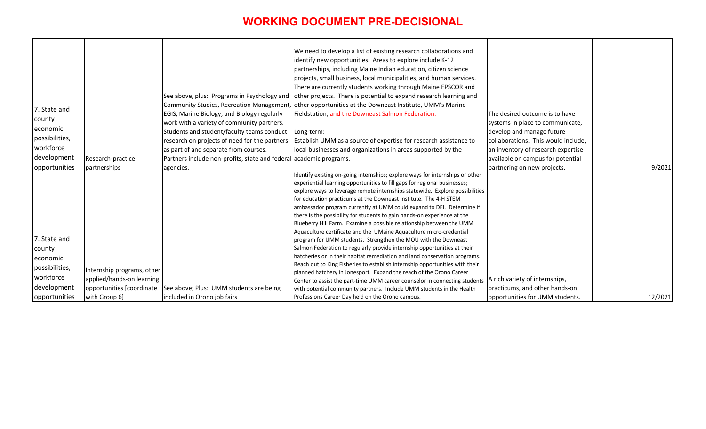|                 |                            |                                                                    | We need to develop a list of existing research collaborations and                                     |                                     |
|-----------------|----------------------------|--------------------------------------------------------------------|-------------------------------------------------------------------------------------------------------|-------------------------------------|
|                 |                            |                                                                    | identify new opportunities. Areas to explore include K-12                                             |                                     |
|                 |                            |                                                                    | partnerships, including Maine Indian education, citizen science                                       |                                     |
|                 |                            |                                                                    | projects, small business, local municipalities, and human services.                                   |                                     |
|                 |                            |                                                                    | There are currently students working through Maine EPSCOR and                                         |                                     |
|                 |                            | See above, plus: Programs in Psychology and                        | other projects. There is potential to expand research learning and                                    |                                     |
|                 |                            |                                                                    | Community Studies, Recreation Management, other opportunities at the Downeast Institute, UMM's Marine |                                     |
| 7. State and    |                            | EGIS, Marine Biology, and Biology regularly                        | Fieldstation, and the Downeast Salmon Federation.                                                     | The desired outcome is to have      |
| county          |                            | work with a variety of community partners.                         |                                                                                                       | systems in place to communicate,    |
| <b>economic</b> |                            | Students and student/faculty teams conduct                         | Long-term:                                                                                            | develop and manage future           |
| possibilities,  |                            | research on projects of need for the partners                      | Establish UMM as a source of expertise for research assistance to                                     | collaborations. This would include, |
| workforce       |                            | as part of and separate from courses.                              | local businesses and organizations in areas supported by the                                          | an inventory of research expertise  |
| development     |                            |                                                                    |                                                                                                       |                                     |
|                 | Research-practice          | Partners include non-profits, state and federal academic programs. |                                                                                                       | available on campus for potential   |
| opportunities   | partnerships               | agencies.                                                          | Identify existing on-going internships; explore ways for internships or other                         | partnering on new projects.         |
|                 |                            |                                                                    | experiential learning opportunities to fill gaps for regional businesses;                             |                                     |
|                 |                            |                                                                    | explore ways to leverage remote internships statewide. Explore possibilities                          |                                     |
|                 |                            |                                                                    | for education practicums at the Downeast Institute. The 4-H STEM                                      |                                     |
|                 |                            |                                                                    | ambassador program currently at UMM could expand to DEI. Determine if                                 |                                     |
|                 |                            |                                                                    | there is the possibility for students to gain hands-on experience at the                              |                                     |
|                 |                            |                                                                    | Blueberry Hill Farm. Examine a possible relationship between the UMM                                  |                                     |
|                 |                            |                                                                    | Aquaculture certificate and the UMaine Aquaculture micro-credential                                   |                                     |
| 7. State and    |                            |                                                                    | program for UMM students. Strengthen the MOU with the Downeast                                        |                                     |
| county          |                            |                                                                    | Salmon Federation to regularly provide internship opportunities at their                              |                                     |
| leconomic       |                            |                                                                    | hatcheries or in their habitat remediation and land conservation programs.                            |                                     |
|                 |                            |                                                                    | Reach out to King Fisheries to establish internship opportunities with their                          |                                     |
| possibilities,  | Internship programs, other |                                                                    | planned hatchery in Jonesport. Expand the reach of the Orono Career                                   |                                     |
| workforce       | applied/hands-on learning  |                                                                    | Center to assist the part-time UMM career counselor in connecting students                            | A rich variety of internships,      |
| development     | opportunities [coordinate  | See above; Plus: UMM students are being                            | with potential community partners. Include UMM students in the Health                                 | practicums, and other hands-on      |
| opportunities   | with Group 6]              | included in Orono job fairs                                        | Professions Career Day held on the Orono campus.                                                      | opportunities for UMM students.     |

| The desired outcome is to have<br>systems in place to communicate,<br>develop and manage future<br>collaborations. This would include, |         |
|----------------------------------------------------------------------------------------------------------------------------------------|---------|
| an inventory of research expertise                                                                                                     |         |
| available on campus for potential                                                                                                      |         |
| partnering on new projects.                                                                                                            | 9/2021  |
|                                                                                                                                        |         |
| A rich variety of internships,                                                                                                         |         |
| practicums, and other hands-on                                                                                                         |         |
| opportunities for UMM students.                                                                                                        | 12/2021 |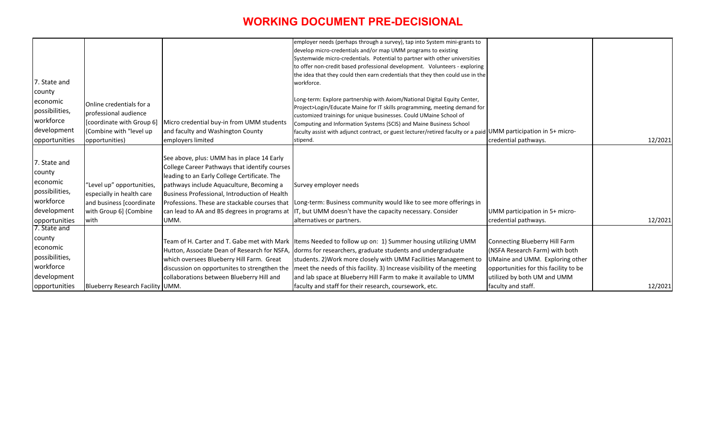| UMM participation in 5+ micro-                                                                                                                                              |         |
|-----------------------------------------------------------------------------------------------------------------------------------------------------------------------------|---------|
| credential pathways.                                                                                                                                                        | 12/2021 |
|                                                                                                                                                                             |         |
| UMM participation in 5+ micro-                                                                                                                                              |         |
| credential pathways.                                                                                                                                                        | 12/2021 |
| Connecting Blueberry Hill Farm<br>(NSFA Research Farm) with both<br>UMaine and UMM. Exploring other<br>opportunities for this facility to be<br>utilized by both UM and UMM |         |
| faculty and staff.                                                                                                                                                          | 12/2021 |

|                      |                                  |                                               | employer needs (perhaps through a survey), tap into System mini-grants to                                        |                                       |
|----------------------|----------------------------------|-----------------------------------------------|------------------------------------------------------------------------------------------------------------------|---------------------------------------|
|                      |                                  |                                               | develop micro-credentials and/or map UMM programs to existing                                                    |                                       |
|                      |                                  |                                               | Systemwide micro-credentials. Potential to partner with other universities                                       |                                       |
|                      |                                  |                                               | to offer non-credit based professional development. Volunteers - exploring                                       |                                       |
|                      |                                  |                                               | the idea that they could then earn credentials that they then could use in the                                   |                                       |
| 7. State and         |                                  |                                               | workforce.                                                                                                       |                                       |
| county               |                                  |                                               |                                                                                                                  |                                       |
| leconomic            | Online credentials for a         |                                               | Long-term: Explore partnership with Axiom/National Digital Equity Center,                                        |                                       |
| possibilities,       | professional audience            |                                               | Project>Login/Educate Maine for IT skills programming, meeting demand for                                        |                                       |
| workforce            |                                  |                                               | customized trainings for unique businesses. Could UMaine School of                                               |                                       |
| development          | [coordinate with Group 6]        | Micro credential buy-in from UMM students     | Computing and Information Systems (SCIS) and Maine Business School                                               |                                       |
|                      | (Combine with "level up          | and faculty and Washington County             | faculty assist with adjunct contract, or guest lecturer/retired faculty or a paid UMM participation in 5+ micro- |                                       |
| opportunities        | opportunities)                   | employers limited                             | stipend.                                                                                                         | credential pathways.                  |
|                      |                                  |                                               |                                                                                                                  |                                       |
| 7. State and         |                                  | See above, plus: UMM has in place 14 Early    |                                                                                                                  |                                       |
| county               |                                  | College Career Pathways that identify courses |                                                                                                                  |                                       |
| economic             |                                  | leading to an Early College Certificate. The  |                                                                                                                  |                                       |
|                      | "Level up" opportunities,        | pathways include Aquaculture, Becoming a      | Survey employer needs                                                                                            |                                       |
| possibilities,       | especially in health care        | Business Professional, Introduction of Health |                                                                                                                  |                                       |
| workforce            | and business [coordinate         | Professions. These are stackable courses that | Long-term: Business community would like to see more offerings in                                                |                                       |
| development          | with Group 6] (Combine           | can lead to AA and BS degrees in programs at  | IT, but UMM doesn't have the capacity necessary. Consider                                                        | UMM participation in 5+ micro-        |
| opportunities        | with                             | UMM.                                          | alternatives or partners.                                                                                        | credential pathways.                  |
| 7. State and         |                                  |                                               |                                                                                                                  |                                       |
| county               |                                  | Team of H. Carter and T. Gabe met with Mark   | Items Needed to follow up on: 1) Summer housing utilizing UMM                                                    | <b>Connecting Blueberry Hill Farm</b> |
| economic             |                                  | Hutton, Associate Dean of Research for NSFA,  | dorms for researchers, graduate students and undergraduate                                                       | (NSFA Research Farm) with both        |
| possibilities,       |                                  |                                               |                                                                                                                  |                                       |
| workforce            |                                  | which oversees Blueberry Hill Farm. Great     | students. 2) Work more closely with UMM Facilities Management to                                                 | UMaine and UMM. Exploring other       |
|                      |                                  | discussion on opportunites to strengthen the  | meet the needs of this facility. 3) Increase visibility of the meeting                                           | opportunities for this facility to be |
| development          |                                  | collaborations between Blueberry Hill and     | and lab space at Blueberry Hill Farm to make it available to UMM                                                 | utilized by both UM and UMM           |
| <b>opportunities</b> | Blueberry Research Facility UMM. |                                               | faculty and staff for their research, coursework, etc.                                                           | faculty and staff.                    |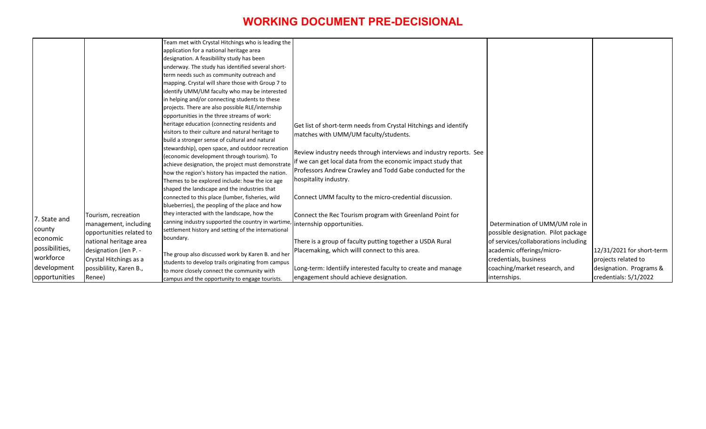|                |                          | Team met with Crystal Hitchings who is leading the                           |                                                                    |                           |
|----------------|--------------------------|------------------------------------------------------------------------------|--------------------------------------------------------------------|---------------------------|
|                |                          | application for a national heritage area                                     |                                                                    |                           |
|                |                          | designation. A feasibililty study has been                                   |                                                                    |                           |
|                |                          | underway. The study has identified several short-                            |                                                                    |                           |
|                |                          | term needs such as community outreach and                                    |                                                                    |                           |
|                |                          | mapping. Crystal will share those with Group 7 to                            |                                                                    |                           |
|                |                          | identify UMM/UM faculty who may be interested                                |                                                                    |                           |
|                |                          | in helping and/or connecting students to these                               |                                                                    |                           |
|                |                          | projects. There are also possible RLE/internship                             |                                                                    |                           |
|                |                          | opportunities in the three streams of work:                                  |                                                                    |                           |
|                |                          | heritage education (connecting residents and                                 | Get list of short-term needs from Crystal Hitchings and identify   |                           |
|                |                          | visitors to their culture and natural heritage to                            | matches with UMM/UM faculty/students.                              |                           |
|                |                          | build a stronger sense of cultural and natural                               |                                                                    |                           |
|                |                          | stewardship), open space, and outdoor recreation                             | Review industry needs through interviews and industry reports. See |                           |
|                |                          | (economic development through tourism). To                                   | if we can get local data from the economic impact study that       |                           |
|                |                          | achieve designation, the project must demonstrate                            |                                                                    |                           |
|                |                          | how the region's history has impacted the nation.                            | Professors Andrew Crawley and Todd Gabe conducted for the          |                           |
|                |                          | Themes to be explored include: how the ice age                               | hospitality industry.                                              |                           |
|                |                          | shaped the landscape and the industries that                                 |                                                                    |                           |
|                |                          | connected to this place (lumber, fisheries, wild                             | Connect UMM faculty to the micro-credential discussion.            |                           |
|                |                          | blueberries), the peopling of the place and how                              |                                                                    |                           |
|                | Tourism, recreation      | they interacted with the landscape, how the                                  | Connect the Rec Tourism program with Greenland Point for           |                           |
| 7. State and   | management, including    | canning industry supported the country in wartime, internship opportunities. |                                                                    | Determination of UMM      |
| county         | opportunities related to | settlement history and setting of the international                          |                                                                    | possible designation. Pil |
| economic       | national heritage area   | boundary.                                                                    | There is a group of faculty putting together a USDA Rural          | of services/collaboration |
| possibilities, | designation (Jen P. -    |                                                                              | Placemaking, which willl connect to this area.                     | academic offerings/micr   |
| workforce      | Crystal Hitchings as a   | The group also discussed work by Karen B. and her                            |                                                                    | credentials, business     |
| development    | possiblility, Karen B.,  | students to develop trails originating from campus                           | Long-term: Identiify interested faculty to create and manage       | coaching/market researd   |
|                |                          | to more closely connect the community with                                   |                                                                    |                           |
| opportunities  | Renee)                   | campus and the opportunity to engage tourists.                               | engagement should achieve designation.                             | internships.              |

| /UM role in        |                                                  |
|--------------------|--------------------------------------------------|
| lot package        |                                                  |
| ns including<br>0- | 12/31/2021 for short-term                        |
|                    | projects related to                              |
| ch, and            | designation. Programs &<br>credentials: 5/1/2022 |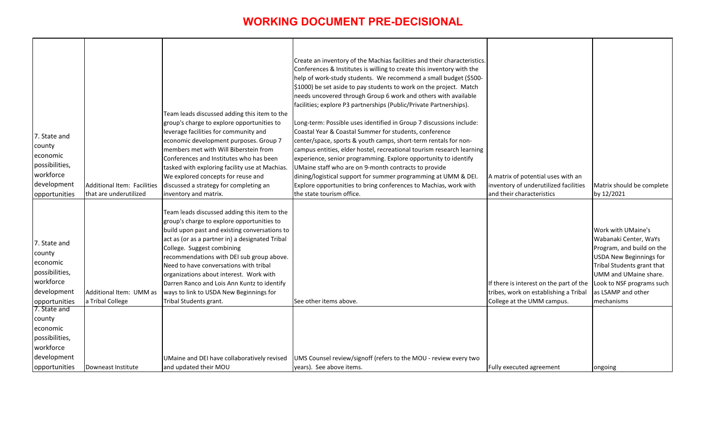| 7. State and<br>county<br>economic<br>possibilities,<br>workforce<br>development<br>opportunities                                                         | Additional Item: Facilities<br>that are underutilized | Team leads discussed adding this item to the<br>group's charge to explore opportunities to<br>leverage facilities for community and<br>economic development purposes. Group 7<br>members met with Will Biberstein from<br>Conferences and Institutes who has been<br>tasked with exploring facility use at Machias.<br>We explored concepts for reuse and<br>discussed a strategy for completing an<br>inventory and matrix.                                                       | Create an inventory of the Machias facilities and their characteristics.<br>Conferences & Institutes is willing to create this inventory with the<br>help of work-study students. We recommend a small budget (\$500-<br>\$1000) be set aside to pay students to work on the project. Match<br>needs uncovered through Group 6 work and others with available<br>facilities; explore P3 partnerships (Public/Private Partnerships).<br>Long-term: Possible uses identified in Group 7 discussions include:<br>Coastal Year & Coastal Summer for students, conference<br>center/space, sports & youth camps, short-term rentals for non-<br>campus entities, elder hostel, recreational tourism research learning<br>experience, senior programming. Explore opportunity to identify<br>UMaine staff who are on 9-month contracts to provide<br>dining/logistical support for summer programming at UMM & DEI.<br>Explore opportunities to bring conferences to Machias, work with<br>the state tourism office. | A matrix of potential uses with an<br>inventory of underutilized facilities<br>and their characteristics       | Matrix should be complete<br>by 12/2021                                                                                                                                                                                            |
|-----------------------------------------------------------------------------------------------------------------------------------------------------------|-------------------------------------------------------|------------------------------------------------------------------------------------------------------------------------------------------------------------------------------------------------------------------------------------------------------------------------------------------------------------------------------------------------------------------------------------------------------------------------------------------------------------------------------------|----------------------------------------------------------------------------------------------------------------------------------------------------------------------------------------------------------------------------------------------------------------------------------------------------------------------------------------------------------------------------------------------------------------------------------------------------------------------------------------------------------------------------------------------------------------------------------------------------------------------------------------------------------------------------------------------------------------------------------------------------------------------------------------------------------------------------------------------------------------------------------------------------------------------------------------------------------------------------------------------------------------|----------------------------------------------------------------------------------------------------------------|------------------------------------------------------------------------------------------------------------------------------------------------------------------------------------------------------------------------------------|
| 7. State and<br>county<br>economic<br>possibilities,<br>workforce<br>development<br>opportunities<br>7. State and<br>county<br>economic<br>possibilities, | Additional Item: UMM as<br>a Tribal College           | Team leads discussed adding this item to the<br>group's charge to explore opportunities to<br>build upon past and existing conversations to<br>act as (or as a partner in) a designated Tribal<br>College. Suggest combining<br>recommendations with DEI sub group above.<br>Need to have conversations with tribal<br>organizations about interest. Work with<br>Darren Ranco and Lois Ann Kuntz to identify<br>ways to link to USDA New Beginnings for<br>Tribal Students grant. | See other items above.                                                                                                                                                                                                                                                                                                                                                                                                                                                                                                                                                                                                                                                                                                                                                                                                                                                                                                                                                                                         | If there is interest on the part of the<br>tribes, work on establishing a Tribal<br>College at the UMM campus. | Work with UMaine's<br>Wabanaki Center, WaYs<br>Program, and build on the<br><b>USDA New Beginnings for</b><br>Tribal Students grant that<br>UMM and UMaine share.<br>Look to NSF programs such<br>as LSAMP and other<br>mechanisms |
| workforce<br>development<br>opportunities                                                                                                                 | Downeast Institute                                    | UMaine and DEI have collaboratively revised<br>and updated their MOU                                                                                                                                                                                                                                                                                                                                                                                                               | UMS Counsel review/signoff (refers to the MOU - review every two<br>years). See above items.                                                                                                                                                                                                                                                                                                                                                                                                                                                                                                                                                                                                                                                                                                                                                                                                                                                                                                                   | Fully executed agreement                                                                                       | ongoing                                                                                                                                                                                                                            |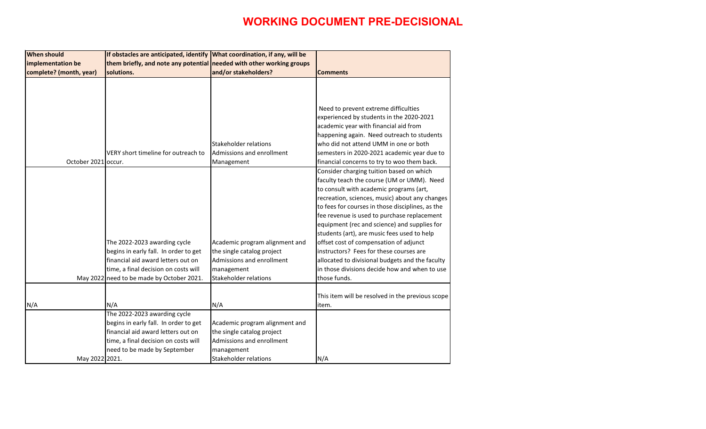| <b>When should</b>      | If obstacles are anticipated, identify What coordination, if any, will be |                                |                                                  |
|-------------------------|---------------------------------------------------------------------------|--------------------------------|--------------------------------------------------|
| implementation be       | them briefly, and note any potential needed with other working groups     |                                |                                                  |
| complete? (month, year) | solutions.                                                                | and/or stakeholders?           | <b>Comments</b>                                  |
|                         |                                                                           |                                |                                                  |
|                         |                                                                           |                                |                                                  |
|                         |                                                                           |                                |                                                  |
|                         |                                                                           |                                | Need to prevent extreme difficulties             |
|                         |                                                                           |                                | experienced by students in the 2020-2021         |
|                         |                                                                           |                                | academic year with financial aid from            |
|                         |                                                                           |                                | happening again. Need outreach to students       |
|                         |                                                                           | Stakeholder relations          | who did not attend UMM in one or both            |
|                         | VERY short timeline for outreach to                                       | Admissions and enrollment      | semesters in 2020-2021 academic year due to      |
| October 2021 occur.     |                                                                           | Management                     | financial concerns to try to woo them back.      |
|                         |                                                                           |                                | Consider charging tuition based on which         |
|                         |                                                                           |                                | faculty teach the course (UM or UMM). Need       |
|                         |                                                                           |                                | to consult with academic programs (art,          |
|                         |                                                                           |                                | recreation, sciences, music) about any changes   |
|                         |                                                                           |                                | to fees for courses in those disciplines, as the |
|                         |                                                                           |                                | fee revenue is used to purchase replacement      |
|                         |                                                                           |                                | equipment (rec and science) and supplies for     |
|                         |                                                                           |                                | students (art), are music fees used to help      |
|                         | The 2022-2023 awarding cycle                                              | Academic program alignment and | offset cost of compensation of adjunct           |
|                         | begins in early fall. In order to get                                     | the single catalog project     | instructors? Fees for these courses are          |
|                         | financial aid award letters out on                                        | Admissions and enrollment      | allocated to divisional budgets and the faculty  |
|                         | time, a final decision on costs will                                      | management                     | in those divisions decide how and when to use    |
|                         | May 2022 need to be made by October 2021.                                 | <b>Stakeholder relations</b>   | those funds.                                     |
|                         |                                                                           |                                |                                                  |
|                         |                                                                           |                                | This item will be resolved in the previous scope |
| N/A                     | N/A                                                                       | N/A                            | item.                                            |
|                         | The 2022-2023 awarding cycle                                              |                                |                                                  |
|                         | begins in early fall. In order to get                                     | Academic program alignment and |                                                  |
|                         | financial aid award letters out on                                        | the single catalog project     |                                                  |
|                         | time, a final decision on costs will                                      | Admissions and enrollment      |                                                  |
|                         | need to be made by September                                              | management                     |                                                  |
| May 2022 2021.          |                                                                           | <b>Stakeholder relations</b>   | N/A                                              |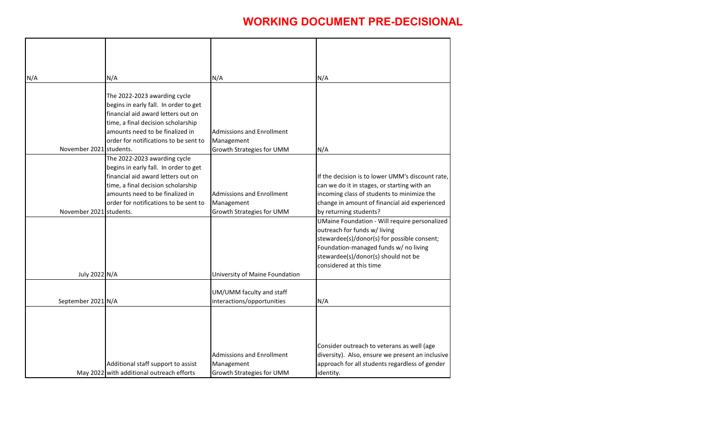| N/A |                         | N/A                                                                                                                                                                                                                           | N/A                                                                                | N/A                                                                                                                                                                                                                                                               |
|-----|-------------------------|-------------------------------------------------------------------------------------------------------------------------------------------------------------------------------------------------------------------------------|------------------------------------------------------------------------------------|-------------------------------------------------------------------------------------------------------------------------------------------------------------------------------------------------------------------------------------------------------------------|
|     | November 2021 students. | The 2022-2023 awarding cycle<br>begins in early fall. In order to get<br>financial aid award letters out on<br>time, a final decision scholarship<br>amounts need to be finalized in<br>order for notifications to be sent to | <b>Admissions and Enrollment</b><br>Management<br><b>Growth Strategies for UMM</b> | N/A                                                                                                                                                                                                                                                               |
|     |                         | The 2022-2023 awarding cycle                                                                                                                                                                                                  |                                                                                    |                                                                                                                                                                                                                                                                   |
|     | November 2021 students. | begins in early fall. In order to get<br>financial aid award letters out on<br>time, a final decision scholarship<br>amounts need to be finalized in<br>order for notifications to be sent to                                 | <b>Admissions and Enrollment</b><br>Management<br><b>Growth Strategies for UMM</b> | If the decision is to lower UMM's discount rate,<br>can we do it in stages, or starting with an<br>incoming class of students to minimize the<br>change in amount of financial aid experienced                                                                    |
|     |                         |                                                                                                                                                                                                                               |                                                                                    | by returning students?<br>UMaine Foundation - Will require personalized<br>outreach for funds w/ living<br>stewardee(s)/donor(s) for possible consent;<br>Foundation-managed funds w/ no living<br>stewardee(s)/donor(s) should not be<br>considered at this time |
|     | July 2022 N/A           |                                                                                                                                                                                                                               | University of Maine Foundation                                                     |                                                                                                                                                                                                                                                                   |
|     | September 2021 N/A      |                                                                                                                                                                                                                               | UM/UMM faculty and staff<br>interactions/opportunities                             | N/A                                                                                                                                                                                                                                                               |
|     |                         | Additional staff support to assist<br>May 2022 with additional outreach efforts                                                                                                                                               | <b>Admissions and Enrollment</b><br>Management<br><b>Growth Strategies for UMM</b> | Consider outreach to veterans as well (age<br>diversity). Also, ensure we present an inclusive<br>approach for all students regardless of gender<br>identity.                                                                                                     |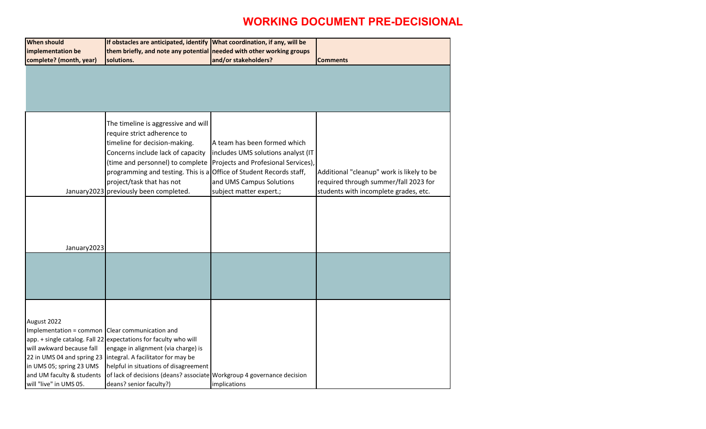| <b>When should</b>                                                                                                                                                                                           | If obstacles are anticipated, identify What coordination, if any, will be                                                                                                                                                                                                                                                  |                                                                                                                                                                  |                                                                                                                             |
|--------------------------------------------------------------------------------------------------------------------------------------------------------------------------------------------------------------|----------------------------------------------------------------------------------------------------------------------------------------------------------------------------------------------------------------------------------------------------------------------------------------------------------------------------|------------------------------------------------------------------------------------------------------------------------------------------------------------------|-----------------------------------------------------------------------------------------------------------------------------|
| implementation be                                                                                                                                                                                            | them briefly, and note any potential needed with other working groups                                                                                                                                                                                                                                                      |                                                                                                                                                                  |                                                                                                                             |
| complete? (month, year)                                                                                                                                                                                      | solutions.                                                                                                                                                                                                                                                                                                                 | and/or stakeholders?                                                                                                                                             | <b>Comments</b>                                                                                                             |
|                                                                                                                                                                                                              |                                                                                                                                                                                                                                                                                                                            |                                                                                                                                                                  |                                                                                                                             |
|                                                                                                                                                                                                              | The timeline is aggressive and will<br>require strict adherence to<br>timeline for decision-making.<br>Concerns include lack of capacity<br>(time and personnel) to complete<br>programming and testing. This is a Office of Student Records staff,<br>project/task that has not<br>January2023 previously been completed. | A team has been formed which<br>includes UMS solutions analyst (IT<br>Projects and Profesional Services),<br>and UMS Campus Solutions<br>subject matter expert.; | Additional "cleanup" work is likely to be<br>required through summer/fall 2023 for<br>students with incomplete grades, etc. |
| January 2023                                                                                                                                                                                                 |                                                                                                                                                                                                                                                                                                                            |                                                                                                                                                                  |                                                                                                                             |
|                                                                                                                                                                                                              |                                                                                                                                                                                                                                                                                                                            |                                                                                                                                                                  |                                                                                                                             |
| August 2022<br>Implementation = common Clear communication and<br>will awkward because fall<br>22 in UMS 04 and spring 23<br>in UMS 05; spring 23 UMS<br>and UM faculty & students<br>will "live" in UMS 05. | app. + single catalog. Fall 22 expectations for faculty who will<br>engage in alignment (via charge) is<br>integral. A facilitator for may be<br>helpful in situations of disagreement<br>of lack of decisions (deans? associate   Workgroup 4 governance decision<br>deans? senior faculty?)                              | implications                                                                                                                                                     |                                                                                                                             |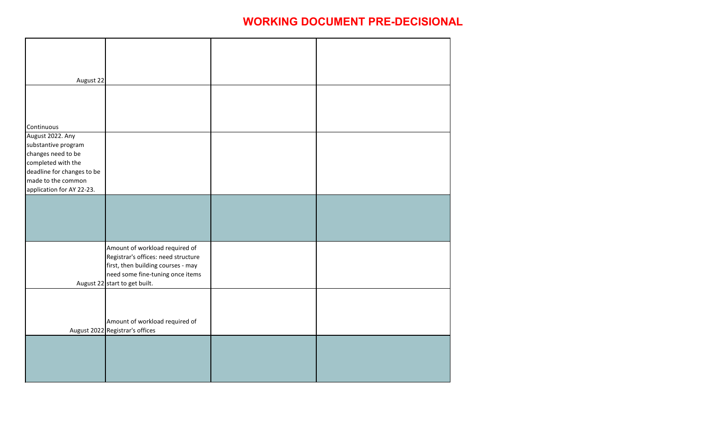| August 22                                       |                                     |  |
|-------------------------------------------------|-------------------------------------|--|
|                                                 |                                     |  |
|                                                 |                                     |  |
|                                                 |                                     |  |
| Continuous                                      |                                     |  |
| August 2022. Any                                |                                     |  |
| substantive program                             |                                     |  |
| changes need to be                              |                                     |  |
| completed with the                              |                                     |  |
| deadline for changes to be                      |                                     |  |
| made to the common<br>application for AY 22-23. |                                     |  |
|                                                 |                                     |  |
|                                                 |                                     |  |
|                                                 |                                     |  |
|                                                 |                                     |  |
|                                                 |                                     |  |
|                                                 | Amount of workload required of      |  |
|                                                 | Registrar's offices: need structure |  |
|                                                 | first, then building courses - may  |  |
|                                                 | need some fine-tuning once items    |  |
|                                                 | August 22 start to get built.       |  |
|                                                 |                                     |  |
|                                                 |                                     |  |
|                                                 |                                     |  |
|                                                 | Amount of workload required of      |  |
|                                                 | August 2022 Registrar's offices     |  |
|                                                 |                                     |  |
|                                                 |                                     |  |
|                                                 |                                     |  |
|                                                 |                                     |  |
|                                                 |                                     |  |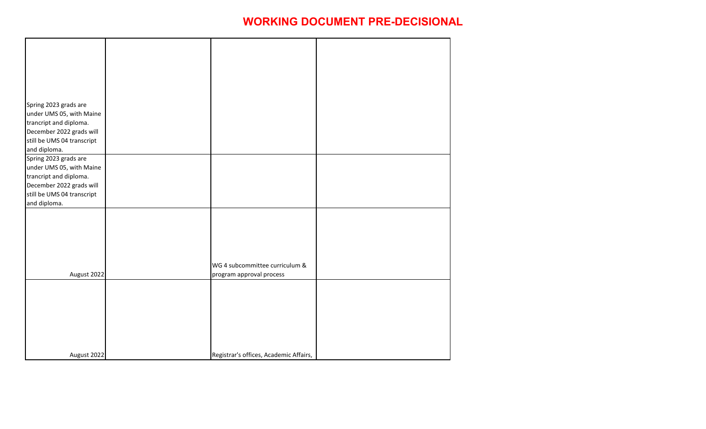| Spring 2023 grads are<br>under UMS 05, with Maine                                                                                                     |                                                            |  |
|-------------------------------------------------------------------------------------------------------------------------------------------------------|------------------------------------------------------------|--|
| trancript and diploma.<br>December 2022 grads will<br>still be UMS 04 transcript<br>and diploma.                                                      |                                                            |  |
| Spring 2023 grads are<br>under UMS 05, with Maine<br>trancript and diploma.<br>December 2022 grads will<br>still be UMS 04 transcript<br>and diploma. |                                                            |  |
|                                                                                                                                                       |                                                            |  |
| August 2022                                                                                                                                           | WG 4 subcommittee curriculum &<br>program approval process |  |
|                                                                                                                                                       |                                                            |  |
| August 2022                                                                                                                                           | Registrar's offices, Academic Affairs,                     |  |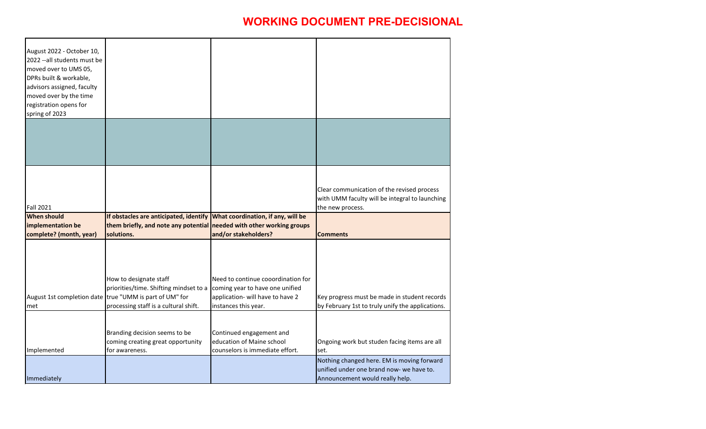| August 2022 - October 10,<br>2022 --all students must be<br>moved over to UMS 05,<br>DPRs built & workable,<br>advisors assigned, faculty<br>moved over by the time |                                                                                                                                                                      |                                                                                                                                   |                                                                                                                           |
|---------------------------------------------------------------------------------------------------------------------------------------------------------------------|----------------------------------------------------------------------------------------------------------------------------------------------------------------------|-----------------------------------------------------------------------------------------------------------------------------------|---------------------------------------------------------------------------------------------------------------------------|
| registration opens for                                                                                                                                              |                                                                                                                                                                      |                                                                                                                                   |                                                                                                                           |
| spring of 2023                                                                                                                                                      |                                                                                                                                                                      |                                                                                                                                   |                                                                                                                           |
|                                                                                                                                                                     |                                                                                                                                                                      |                                                                                                                                   |                                                                                                                           |
| <b>Fall 2021</b>                                                                                                                                                    |                                                                                                                                                                      |                                                                                                                                   | Clear communication of the revised process<br>with UMM faculty will be integral to launching<br>the new process.          |
| <b>When should</b>                                                                                                                                                  | If obstacles are anticipated, identify What coordination, if any, will be                                                                                            |                                                                                                                                   |                                                                                                                           |
| implementation be                                                                                                                                                   | them briefly, and note any potential needed with other working groups                                                                                                |                                                                                                                                   |                                                                                                                           |
| complete? (month, year)                                                                                                                                             | solutions.                                                                                                                                                           | and/or stakeholders?                                                                                                              | <b>Comments</b>                                                                                                           |
| lmet                                                                                                                                                                | How to designate staff<br>priorities/time. Shifting mindset to a<br>August 1st completion date true "UMM is part of UM" for<br>processing staff is a cultural shift. | Need to continue cooordination for<br>coming year to have one unified<br>application- will have to have 2<br>instances this year. | Key progress must be made in student records<br>by February 1st to truly unify the applications.                          |
| Implemented                                                                                                                                                         | Branding decision seems to be<br>coming creating great opportunity<br>lfor awareness.                                                                                | Continued engagement and<br>education of Maine school<br>counselors is immediate effort.                                          | Ongoing work but studen facing items are all<br>set.                                                                      |
| Immediately                                                                                                                                                         |                                                                                                                                                                      |                                                                                                                                   | Nothing changed here. EM is moving forward<br>unified under one brand now- we have to.<br>Announcement would really help. |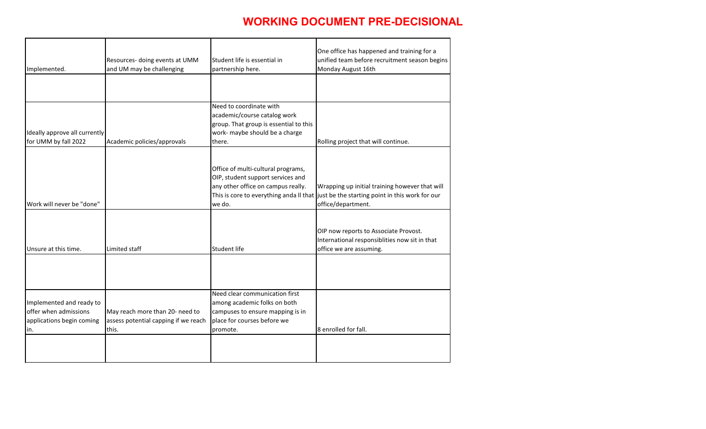| Implemented.                                                                          | Resources- doing events at UMM<br>and UM may be challenging                      | Student life is essential in<br>partnership here.                                                                                             | One office has happened and training for a<br>unified team before recruitment season begins<br>Monday August 16th                                               |
|---------------------------------------------------------------------------------------|----------------------------------------------------------------------------------|-----------------------------------------------------------------------------------------------------------------------------------------------|-----------------------------------------------------------------------------------------------------------------------------------------------------------------|
|                                                                                       |                                                                                  |                                                                                                                                               |                                                                                                                                                                 |
| Ideally approve all currently<br>for UMM by fall 2022                                 | Academic policies/approvals                                                      | Need to coordinate with<br>academic/course catalog work<br>group. That group is essential to this<br>work- maybe should be a charge<br>there. | Rolling project that will continue.                                                                                                                             |
| Work will never be "done"                                                             |                                                                                  | Office of multi-cultural programs,<br>OIP, student support services and<br>any other office on campus really.<br>we do.                       | Wrapping up initial training however that will<br>This is core to everything anda II that just be the starting point in this work for our<br>office/department. |
| Unsure at this time.                                                                  | Limited staff                                                                    | <b>Student life</b>                                                                                                                           | OIP now reports to Associate Provost.<br>International responsiblities now sit in that<br>office we are assuming.                                               |
|                                                                                       |                                                                                  |                                                                                                                                               |                                                                                                                                                                 |
| Implemented and ready to<br>offer when admissions<br>applications begin coming<br>in. | May reach more than 20- need to<br>assess potential capping if we reach<br>this. | Need clear communication first<br>among academic folks on both<br>campuses to ensure mapping is in<br>place for courses before we<br>promote. | 8 enrolled for fall.                                                                                                                                            |
|                                                                                       |                                                                                  |                                                                                                                                               |                                                                                                                                                                 |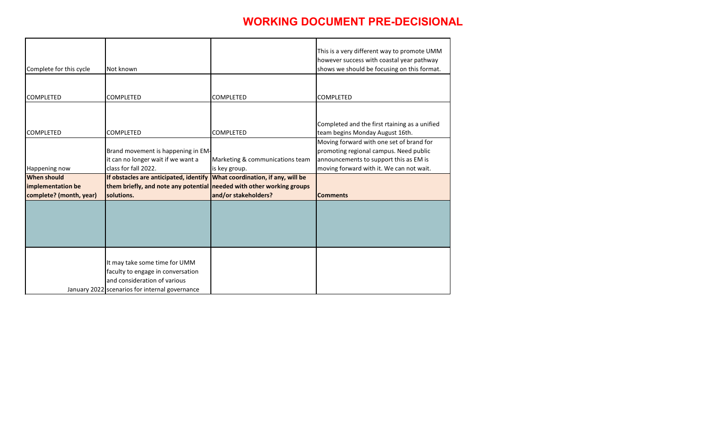| Complete for this cycle | Not known                                                                                                                                            |                                 | This is a very different way to promote UMM<br>however success with coastal year pathway<br>shows we should be focusing on this format. |
|-------------------------|------------------------------------------------------------------------------------------------------------------------------------------------------|---------------------------------|-----------------------------------------------------------------------------------------------------------------------------------------|
|                         |                                                                                                                                                      |                                 |                                                                                                                                         |
| <b>COMPLETED</b>        | <b>COMPLETED</b>                                                                                                                                     | <b>COMPLETED</b>                | <b>COMPLETED</b>                                                                                                                        |
| <b>COMPLETED</b>        | <b>COMPLETED</b>                                                                                                                                     | <b>COMPLETED</b>                | Completed and the first rtaining as a unified<br>team begins Monday August 16th.                                                        |
|                         | Brand movement is happening in EM-<br>it can no longer wait if we want a                                                                             | Marketing & communications team | Moving forward with one set of brand for<br>promoting regional campus. Need public<br>announcements to support this as EM is            |
| Happening now           | class for fall 2022.                                                                                                                                 | is key group.                   | moving forward with it. We can not wait.                                                                                                |
| <b>When should</b>      | If obstacles are anticipated, identify What coordination, if any, will be                                                                            |                                 |                                                                                                                                         |
| implementation be       | them briefly, and note any potential needed with other working groups                                                                                |                                 |                                                                                                                                         |
| complete? (month, year) | solutions.                                                                                                                                           | and/or stakeholders?            | <b>Comments</b>                                                                                                                         |
|                         |                                                                                                                                                      |                                 |                                                                                                                                         |
|                         | It may take some time for UMM<br>faculty to engage in conversation<br>and consideration of various<br>January 2022 scenarios for internal governance |                                 |                                                                                                                                         |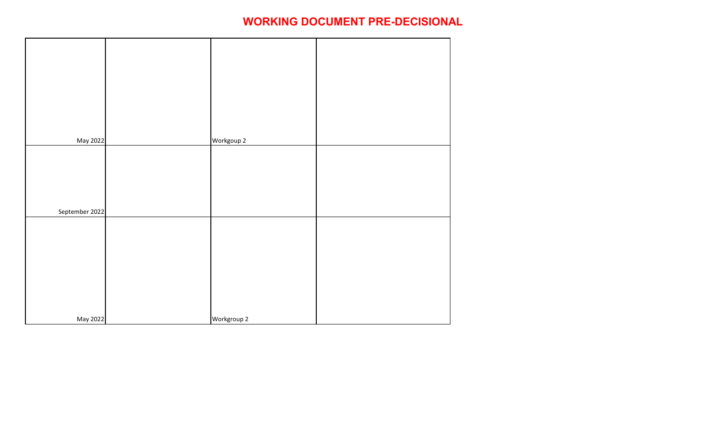| May 2022       | Workgoup 2  |  |
|----------------|-------------|--|
|                |             |  |
|                |             |  |
|                |             |  |
|                |             |  |
|                |             |  |
| September 2022 |             |  |
|                |             |  |
|                |             |  |
|                |             |  |
|                |             |  |
|                |             |  |
|                |             |  |
|                |             |  |
|                |             |  |
| May 2022       | Workgroup 2 |  |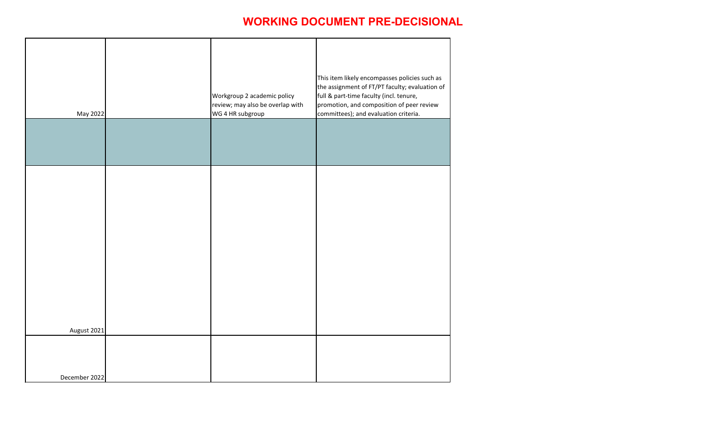| May 2022      | Workgroup 2 academic policy<br>review; may also be overlap with<br>WG 4 HR subgroup | This item likely encompasses policies such as<br>the assignment of FT/PT faculty; evaluation of<br>full & part-time faculty (incl. tenure,<br>promotion, and composition of peer review<br>committees); and evaluation criteria. |
|---------------|-------------------------------------------------------------------------------------|----------------------------------------------------------------------------------------------------------------------------------------------------------------------------------------------------------------------------------|
|               |                                                                                     |                                                                                                                                                                                                                                  |
|               |                                                                                     |                                                                                                                                                                                                                                  |
|               |                                                                                     |                                                                                                                                                                                                                                  |
|               |                                                                                     |                                                                                                                                                                                                                                  |
| August 2021   |                                                                                     |                                                                                                                                                                                                                                  |
| December 2022 |                                                                                     |                                                                                                                                                                                                                                  |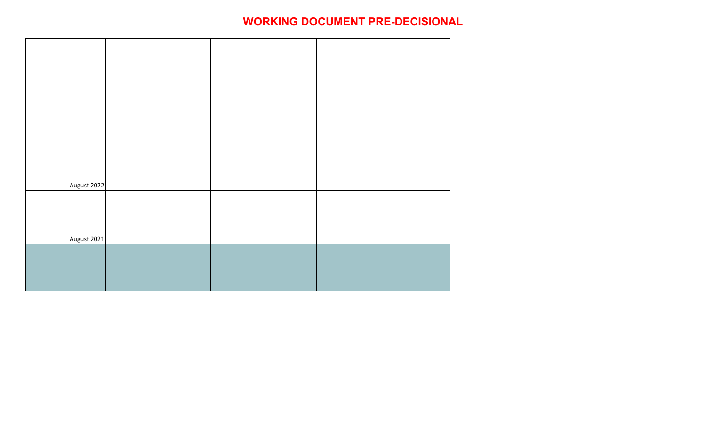| August 2022 |  |  |
|-------------|--|--|
|             |  |  |
|             |  |  |
|             |  |  |
|             |  |  |
|             |  |  |
|             |  |  |
|             |  |  |
| August 2021 |  |  |
|             |  |  |
|             |  |  |
|             |  |  |
|             |  |  |
|             |  |  |
|             |  |  |
|             |  |  |
|             |  |  |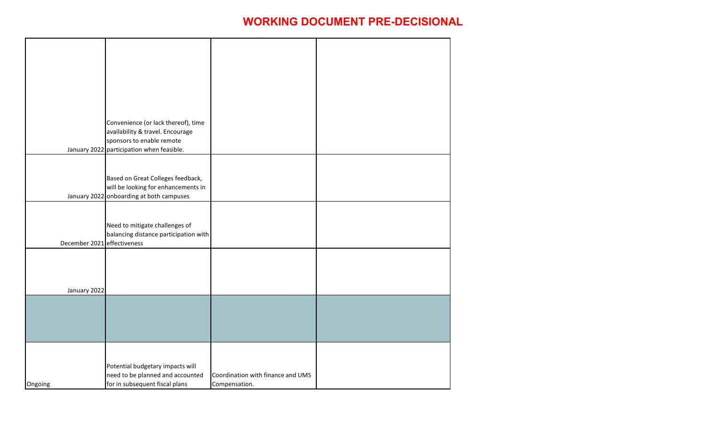|                             | Convenience (or lack thereof), time<br>availability & travel. Encourage<br>sponsors to enable remote<br>January 2022 participation when feasible. |                                                    |  |
|-----------------------------|---------------------------------------------------------------------------------------------------------------------------------------------------|----------------------------------------------------|--|
|                             | Based on Great Colleges feedback,<br>will be looking for enhancements in<br>January 2022 onboarding at both campuses                              |                                                    |  |
| December 2021 effectiveness | Need to mitigate challenges of<br>balancing distance participation with                                                                           |                                                    |  |
| January 2022                |                                                                                                                                                   |                                                    |  |
|                             |                                                                                                                                                   |                                                    |  |
| Ongoing                     | Potential budgetary impacts will<br>need to be planned and accounted<br>for in subsequent fiscal plans                                            | Coordination with finance and UMS<br>Compensation. |  |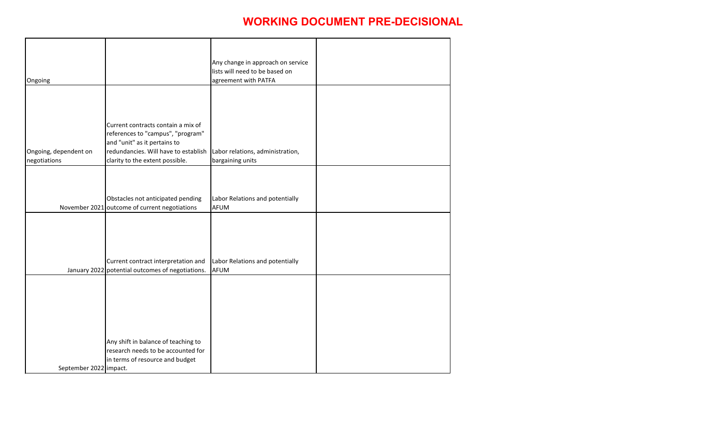|                        |                                                  | Any change in approach on service |  |
|------------------------|--------------------------------------------------|-----------------------------------|--|
|                        |                                                  | lists will need to be based on    |  |
| Ongoing                |                                                  | agreement with PATFA              |  |
|                        |                                                  |                                   |  |
|                        |                                                  |                                   |  |
|                        |                                                  |                                   |  |
|                        |                                                  |                                   |  |
|                        | Current contracts contain a mix of               |                                   |  |
|                        | references to "campus", "program"                |                                   |  |
|                        | and "unit" as it pertains to                     |                                   |  |
| Ongoing, dependent on  | redundancies. Will have to establish             | Labor relations, administration,  |  |
| negotiations           | clarity to the extent possible.                  | bargaining units                  |  |
|                        |                                                  |                                   |  |
|                        |                                                  |                                   |  |
|                        |                                                  |                                   |  |
|                        | Obstacles not anticipated pending                | Labor Relations and potentially   |  |
|                        | November 2021 outcome of current negotiations    | <b>AFUM</b>                       |  |
|                        |                                                  |                                   |  |
|                        |                                                  |                                   |  |
|                        |                                                  |                                   |  |
|                        |                                                  |                                   |  |
|                        |                                                  |                                   |  |
|                        | Current contract interpretation and              | Labor Relations and potentially   |  |
|                        | January 2022 potential outcomes of negotiations. | <b>AFUM</b>                       |  |
|                        |                                                  |                                   |  |
|                        |                                                  |                                   |  |
|                        |                                                  |                                   |  |
|                        |                                                  |                                   |  |
|                        |                                                  |                                   |  |
|                        |                                                  |                                   |  |
|                        | Any shift in balance of teaching to              |                                   |  |
|                        | research needs to be accounted for               |                                   |  |
|                        |                                                  |                                   |  |
|                        | in terms of resource and budget                  |                                   |  |
| September 2022 impact. |                                                  |                                   |  |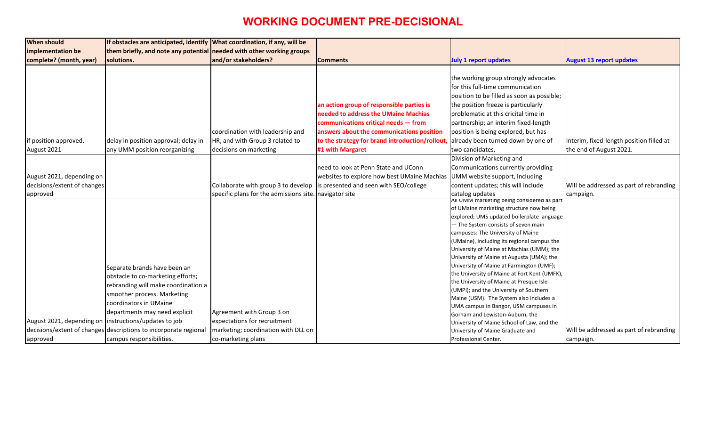| <b>When should</b>                                     | If obstacles are anticipated, identify What coordination, if any, will be |                                         |                                                                            |                                                                                  |                                 |
|--------------------------------------------------------|---------------------------------------------------------------------------|-----------------------------------------|----------------------------------------------------------------------------|----------------------------------------------------------------------------------|---------------------------------|
| implementation be                                      | them briefly, and note any potential needed with other working groups     |                                         |                                                                            |                                                                                  |                                 |
| complete? (month, year)                                | solutions.                                                                | and/or stakeholders?                    | <b>Comments</b>                                                            | <b>July 1 report updates</b>                                                     | <b>August 13 report updates</b> |
|                                                        |                                                                           |                                         |                                                                            |                                                                                  |                                 |
|                                                        |                                                                           |                                         |                                                                            | the working group strongly advocates                                             |                                 |
|                                                        |                                                                           |                                         |                                                                            | for this full-time communication                                                 |                                 |
|                                                        |                                                                           |                                         |                                                                            | position to be filled as soon as possible;                                       |                                 |
|                                                        |                                                                           |                                         | an action group of responsible parties is                                  | the position freeze is particularly                                              |                                 |
|                                                        |                                                                           |                                         | needed to address the UMaine Machias                                       | problematic at this cricital time in                                             |                                 |
|                                                        |                                                                           |                                         | communications critical needs - from                                       | partnership; an interim fixed-length                                             |                                 |
|                                                        |                                                                           | coordination with leadership and        | answers about the communications position                                  | position is being explored, but has                                              |                                 |
| if position approved,                                  | delay in position approval; delay in                                      | HR, and with Group 3 related to         | to the strategy for brand introduction/rollout                             | already been turned down by one of                                               | Interim, fixed-length posit     |
| August 2021                                            | any UMM position reorganizing                                             | decisions on marketing                  | #1 with Margaret                                                           | two candidates.                                                                  | the end of August 2021.         |
|                                                        |                                                                           |                                         |                                                                            | Division of Marketing and                                                        |                                 |
|                                                        |                                                                           |                                         | need to look at Penn State and UConn                                       | Communications currently providing                                               |                                 |
| August 2021, depending on                              |                                                                           |                                         | websites to explore how best UMaine Machias UMM website support, including |                                                                                  |                                 |
| decisions/extent of changes                            |                                                                           | Collaborate with group 3 to develop     | is presented and seen with SEO/college                                     | content updates; this will include                                               | Will be addressed as part       |
| approved                                               |                                                                           | specific plans for the admissions site. | navigator site                                                             | catalog updates                                                                  | campaign.                       |
|                                                        |                                                                           |                                         |                                                                            | <u>AII UMM marketing being considered as part</u>                                |                                 |
|                                                        |                                                                           |                                         |                                                                            | of UMaine marketing structure now being                                          |                                 |
|                                                        |                                                                           |                                         |                                                                            | explored; UMS updated boilerplate language                                       |                                 |
|                                                        |                                                                           |                                         |                                                                            | - The System consists of seven main                                              |                                 |
|                                                        |                                                                           |                                         |                                                                            | campuses: The University of Maine                                                |                                 |
|                                                        |                                                                           |                                         |                                                                            | (UMaine), including its regional campus the                                      |                                 |
|                                                        |                                                                           |                                         |                                                                            | University of Maine at Machias (UMM); the                                        |                                 |
|                                                        |                                                                           |                                         |                                                                            | University of Maine at Augusta (UMA); the                                        |                                 |
|                                                        | Separate brands have been an                                              |                                         |                                                                            | University of Maine at Farmington (UMF);                                         |                                 |
|                                                        | obstacle to co-marketing efforts;                                         |                                         |                                                                            | the University of Maine at Fort Kent (UMFK),                                     |                                 |
|                                                        | rebranding will make coordination a                                       |                                         |                                                                            | the University of Maine at Presque Isle                                          |                                 |
|                                                        | smoother process. Marketing                                               |                                         |                                                                            | (UMPI); and the University of Southern                                           |                                 |
|                                                        | coordinators in UMaine                                                    |                                         |                                                                            | Maine (USM). The System also includes a<br>UMA campus in Bangor, USM campuses in |                                 |
|                                                        | departments may need explicit                                             | Agreement with Group 3 on               |                                                                            | Gorham and Lewiston-Auburn, the                                                  |                                 |
| August 2021, depending on  instructions/updates to job |                                                                           | expectations for recruitment            |                                                                            | University of Maine School of Law, and the                                       |                                 |
|                                                        |                                                                           |                                         |                                                                            |                                                                                  |                                 |
|                                                        | decisions/extent of changes descriptions to incorporate regional          | marketing; coordination with DLL on     |                                                                            | University of Maine Graduate and                                                 | Will be addressed as part       |

|                                        | <b>August 13 report updates</b>                                     |
|----------------------------------------|---------------------------------------------------------------------|
| 5                                      |                                                                     |
| le;                                    |                                                                     |
|                                        |                                                                     |
|                                        | Interim, fixed-length position filled at<br>the end of August 2021. |
|                                        |                                                                     |
|                                        | Will be addressed as part of rebranding<br>campaign.                |
| art<br>3<br>age                        |                                                                     |
| ٦e<br>he<br>e<br>;<br><sup>=</sup> K), |                                                                     |
| n                                      |                                                                     |
| ıе                                     | Will be addressed as part of rebranding<br>campaign.                |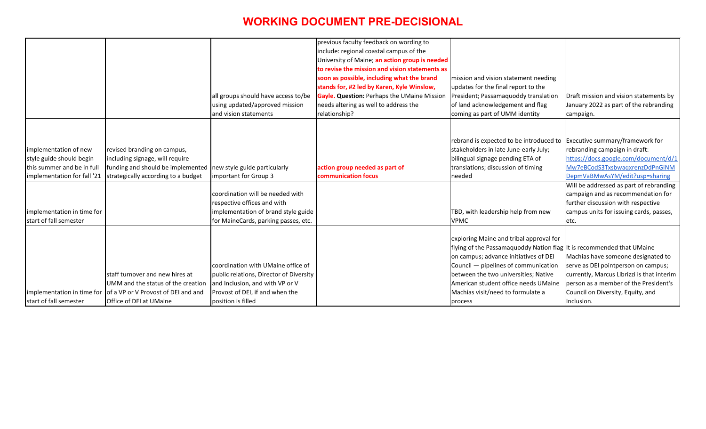|                             |                                                                |                                         | previous faculty feedback on wording to        |                                         |
|-----------------------------|----------------------------------------------------------------|-----------------------------------------|------------------------------------------------|-----------------------------------------|
|                             |                                                                |                                         | include: regional coastal campus of the        |                                         |
|                             |                                                                |                                         | University of Maine; an action group is needed |                                         |
|                             |                                                                |                                         | to revise the mission and vision statements as |                                         |
|                             |                                                                |                                         | soon as possible, including what the brand     | mission and vision statement needing    |
|                             |                                                                |                                         | stands for, #2 led by Karen, Kyle Winslow,     | updates for the final report to the     |
|                             |                                                                | all groups should have access to/be     | Gayle. Question: Perhaps the UMaine Mission    | President; Passamaquoddy translation    |
|                             |                                                                | using updated/approved mission          | needs altering as well to address the          | of land acknowledgement and flag        |
|                             |                                                                | and vision statements                   | relationship?                                  | coming as part of UMM identity          |
|                             |                                                                |                                         |                                                |                                         |
|                             |                                                                |                                         |                                                | rebrand is expected to be introduced to |
| implementation of new       | revised branding on campus,                                    |                                         |                                                | stakeholders in late June-early July;   |
| style guide should begin    | including signage, will require                                |                                         |                                                | bilingual signage pending ETA of        |
| this summer and be in full  | funding and should be implemented new style guide particularly |                                         | action group needed as part of                 | translations; discussion of timing      |
| implementation for fall '21 | strategically according to a budget                            | Important for Group 3                   | communication focus                            | needed                                  |
|                             |                                                                |                                         |                                                |                                         |
|                             |                                                                | coordination will be needed with        |                                                |                                         |
|                             |                                                                | respective offices and with             |                                                |                                         |
| implementation in time for  |                                                                | implementation of brand style guide     |                                                | TBD, with leadership help from new      |
| start of fall semester      |                                                                | for MaineCards, parking passes, etc.    |                                                | <b>VPMC</b>                             |
|                             |                                                                |                                         |                                                | exploring Maine and tribal approval for |
|                             |                                                                |                                         |                                                | flying of the Passamaquoddy Nation flag |
|                             |                                                                |                                         |                                                | on campus; advance initiatives of DEI   |
|                             |                                                                | coordination with UMaine office of      |                                                | Council - pipelines of communication    |
|                             | staff turnover and new hires at                                | public relations, Director of Diversity |                                                | between the two universities; Native    |
|                             | UMM and the status of the creation                             | and Inclusion, and with VP or V         |                                                | American student office needs UMaine    |
| implementation in time for  | of a VP or V Provost of DEI and and                            | Provost of DEI, if and when the         |                                                | Machias visit/need to formulate a       |
| start of fall semester      | Office of DEI at UMaine                                        | position is filled                      |                                                | process                                 |

| 3   |                                                                                                                                                                                                                                                                                                                                                |
|-----|------------------------------------------------------------------------------------------------------------------------------------------------------------------------------------------------------------------------------------------------------------------------------------------------------------------------------------------------|
| n   | Draft mission and vision statements by<br>January 2022 as part of the rebranding<br>campaign.                                                                                                                                                                                                                                                  |
|     |                                                                                                                                                                                                                                                                                                                                                |
| to  | Executive summary/framework for<br>rebranding campaign in draft:<br>https://docs.google.com/document/d/1<br>Mw7eBCodS3TxsbwaqxrenzDdPnGiNM<br>DepmVaBMwAsYM/edit?usp=sharing<br>Will be addressed as part of rebranding<br>campaign and as recommendation for<br>further discussion with respective<br>campus units for issuing cards, passes, |
|     | etc.                                                                                                                                                                                                                                                                                                                                           |
| or  |                                                                                                                                                                                                                                                                                                                                                |
| iag | It is recommended that UMaine                                                                                                                                                                                                                                                                                                                  |
|     | Machias have someone designated to                                                                                                                                                                                                                                                                                                             |
| n   | serve as DEI pointperson on campus;                                                                                                                                                                                                                                                                                                            |
|     | currently, Marcus Librizzi is that interim                                                                                                                                                                                                                                                                                                     |
| ١ė  | person as a member of the President's                                                                                                                                                                                                                                                                                                          |
|     | Council on Diversity, Equity, and<br>Inclusion.                                                                                                                                                                                                                                                                                                |
|     |                                                                                                                                                                                                                                                                                                                                                |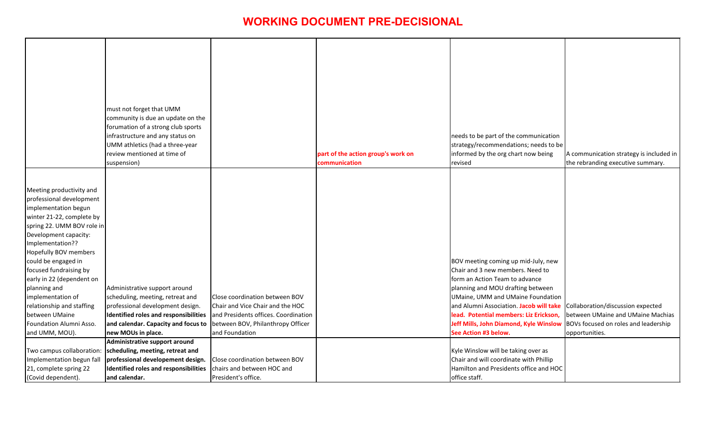| tion<br>to be<br>g                | A communication strategy is included in<br>the rebranding executive summary.                                                     |
|-----------------------------------|----------------------------------------------------------------------------------------------------------------------------------|
| ew                                |                                                                                                                                  |
| n<br>tion<br>take<br>ion,<br>slow | Collaboration/discussion expected<br>between UMaine and UMaine Machias<br>BOVs focused on roles and leadership<br>opportunities. |
| p<br>HOC                          |                                                                                                                                  |

|                                                                                                                                                                                                                                                                                                                                                                                                                              | must not forget that UMM<br>community is due an update on the<br>forumation of a strong club sports<br>infrastructure and any status on<br>UMM athletics (had a three-year<br>review mentioned at time of<br>suspension)                             |                                                                                                                              | part of the action group's work on<br>communication | needs to be part of the communication<br>strategy/recommendations; needs to be<br>informed by the org chart now being<br>revised                                                                                                                                                                                                           |
|------------------------------------------------------------------------------------------------------------------------------------------------------------------------------------------------------------------------------------------------------------------------------------------------------------------------------------------------------------------------------------------------------------------------------|------------------------------------------------------------------------------------------------------------------------------------------------------------------------------------------------------------------------------------------------------|------------------------------------------------------------------------------------------------------------------------------|-----------------------------------------------------|--------------------------------------------------------------------------------------------------------------------------------------------------------------------------------------------------------------------------------------------------------------------------------------------------------------------------------------------|
| Meeting productivity and<br>professional development<br>implementation begun<br>winter 21-22, complete by<br>spring 22. UMM BOV role in<br>Development capacity:<br>Implementation??<br>Hopefully BOV members<br>could be engaged in<br>focused fundraising by<br>early in 22 (dependent on<br>planning and<br>implementation of<br>relationship and staffing<br>between UMaine<br>Foundation Alumni Asso.<br>and UMM, MOU). | Administrative support around<br>scheduling, meeting, retreat and<br>professional development design.<br><b>Identified roles and responsibilities</b><br>and calendar. Capacity and focus to between BOV, Philanthropy Officer<br>new MOUs in place. | Close coordination between BOV<br>Chair and Vice Chair and the HOC<br>and Presidents offices. Coordination<br>and Foundation |                                                     | BOV meeting coming up mid-July, new<br>Chair and 3 new members. Need to<br>form an Action Team to advance<br>planning and MOU drafting between<br>UMaine, UMM and UMaine Foundation<br>and Alumni Association. Jacob will take<br>lead. Potential members: Liz Erickson,<br>Jeff Mills, John Diamond, Kyle Winslow<br>See Action #3 below. |
| Two campus collaboration:<br>Implementation begun fall<br>21, complete spring 22<br>(Covid dependent).                                                                                                                                                                                                                                                                                                                       | Administrative support around<br>scheduling, meeting, retreat and<br>professional developement design.<br><b>Identified roles and responsibilities</b><br>and calendar.                                                                              | Close coordination between BOV<br>chairs and between HOC and<br>President's office.                                          |                                                     | Kyle Winslow will be taking over as<br>Chair and will coordinate with Phillip<br>Hamilton and Presidents office and HOC<br>office staff.                                                                                                                                                                                                   |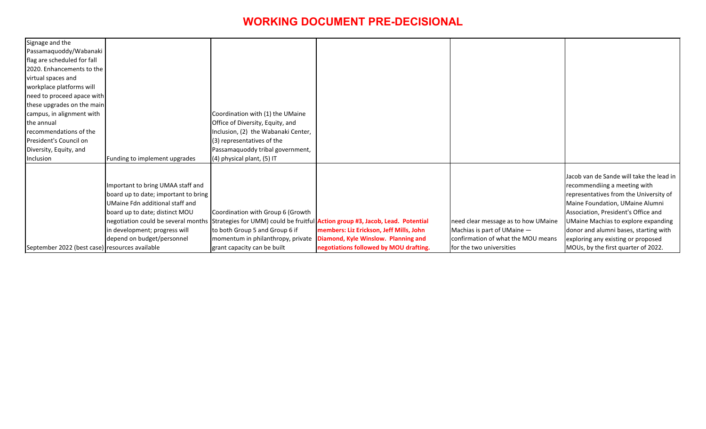| Signage and the                                |                                      |                                     |                                                                                                                          |                                     |
|------------------------------------------------|--------------------------------------|-------------------------------------|--------------------------------------------------------------------------------------------------------------------------|-------------------------------------|
| Passamaquoddy/Wabanaki                         |                                      |                                     |                                                                                                                          |                                     |
| flag are scheduled for fall                    |                                      |                                     |                                                                                                                          |                                     |
| 2020. Enhancements to the                      |                                      |                                     |                                                                                                                          |                                     |
| virtual spaces and                             |                                      |                                     |                                                                                                                          |                                     |
| workplace platforms will                       |                                      |                                     |                                                                                                                          |                                     |
| need to proceed apace with                     |                                      |                                     |                                                                                                                          |                                     |
| these upgrades on the main                     |                                      |                                     |                                                                                                                          |                                     |
| campus, in alignment with                      |                                      | Coordination with (1) the UMaine    |                                                                                                                          |                                     |
| the annual                                     |                                      | Office of Diversity, Equity, and    |                                                                                                                          |                                     |
| recommendations of the                         |                                      | Inclusion, (2) the Wabanaki Center, |                                                                                                                          |                                     |
| President's Council on                         |                                      | (3) representatives of the          |                                                                                                                          |                                     |
| Diversity, Equity, and                         |                                      | Passamaquoddy tribal government,    |                                                                                                                          |                                     |
| Inclusion                                      | Funding to implement upgrades        | $(4)$ physical plant, $(5)$ IT      |                                                                                                                          |                                     |
|                                                |                                      |                                     |                                                                                                                          |                                     |
|                                                |                                      |                                     |                                                                                                                          |                                     |
|                                                | Important to bring UMAA staff and    |                                     |                                                                                                                          |                                     |
|                                                | board up to date; important to bring |                                     |                                                                                                                          |                                     |
|                                                | UMaine Fdn additional staff and      |                                     |                                                                                                                          |                                     |
|                                                | board up to date; distinct MOU       | Coordination with Group 6 (Growth   |                                                                                                                          |                                     |
|                                                |                                      |                                     | negotiation could be several months Strategies for UMM) could be fruitful <b>Action group #3, Jacob, Lead. Potential</b> | need clear message as to how UMaine |
|                                                | in development; progress will        | to both Group 5 and Group 6 if      | members: Liz Erickson, Jeff Mills, John                                                                                  | Machias is part of UMaine -         |
|                                                | depend on budget/personnel           | momentum in philanthropy, private   | Diamond, Kyle Winslow. Planning and                                                                                      | confirmation of what the MOU means  |
| September 2022 (best case) resources available |                                      | grant capacity can be built         | negotiations followed by MOU drafting.                                                                                   | for the two universities            |
|                                                |                                      |                                     |                                                                                                                          |                                     |

| è<br>ŝ | Jacob van de Sande will take the lead in<br>recommendiing a meeting with<br>representatives from the University of<br>Maine Foundation, UMaine Alumni<br>Association, President's Office and<br><b>UMaine Machias to explore expanding</b><br>donor and alumni bases, starting with<br>exploring any existing or proposed |
|--------|---------------------------------------------------------------------------------------------------------------------------------------------------------------------------------------------------------------------------------------------------------------------------------------------------------------------------|
|        | MOUs, by the first quarter of 2022.                                                                                                                                                                                                                                                                                       |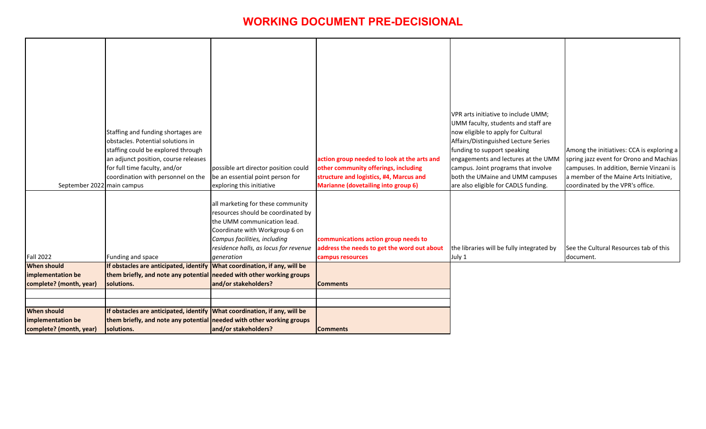|                            | Staffing and funding shortages are                                         |                                                                         |                                                                 | VPR arts initiative to include UMM;<br>UMM faculty, students and staff are<br>now eligible to apply for Cultural |
|----------------------------|----------------------------------------------------------------------------|-------------------------------------------------------------------------|-----------------------------------------------------------------|------------------------------------------------------------------------------------------------------------------|
|                            | obstacles. Potential solutions in                                          |                                                                         |                                                                 | Affairs/Distinguished Lecture Series                                                                             |
|                            | staffing could be explored through<br>an adjunct position, course releases |                                                                         | action group needed to look at the arts and                     | funding to support speaking<br>engagements and lectures at the UMM                                               |
|                            | for full time faculty, and/or                                              | possible art director position could                                    | other community offerings, including                            | campus. Joint programs that involve                                                                              |
|                            | coordination with personnel on the                                         | be an essential point person for                                        | structure and logistics, #4, Marcus and                         | both the UMaine and UMM campuses                                                                                 |
| September 2022 main campus |                                                                            | exploring this initiative                                               | <b>Marianne (dovetailing into group 6)</b>                      | are also eligible for CADLS funding.                                                                             |
|                            |                                                                            | all marketing for these community<br>resources should be coordinated by |                                                                 |                                                                                                                  |
|                            |                                                                            | the UMM communication lead.                                             |                                                                 |                                                                                                                  |
|                            |                                                                            | Coordinate with Workgroup 6 on                                          |                                                                 |                                                                                                                  |
|                            |                                                                            | Campus facilities, including                                            | communications action group needs to                            |                                                                                                                  |
| Fall 2022                  | Funding and space                                                          | residence halls, as locus for revenue<br>generation                     | address the needs to get the word out about<br>campus resources | the libraries will be fully integrated by<br>July 1                                                              |
| <b>When should</b>         | If obstacles are anticipated, identify What coordination, if any, will be  |                                                                         |                                                                 |                                                                                                                  |
| implementation be          | them briefly, and note any potential needed with other working groups      |                                                                         |                                                                 |                                                                                                                  |
| complete? (month, year)    | solutions.                                                                 | and/or stakeholders?                                                    | <b>Comments</b>                                                 |                                                                                                                  |
|                            |                                                                            |                                                                         |                                                                 |                                                                                                                  |
|                            |                                                                            |                                                                         |                                                                 |                                                                                                                  |
| <b>When should</b>         | If obstacles are anticipated, identify What coordination, if any, will be  |                                                                         |                                                                 |                                                                                                                  |
| implementation be          | them briefly, and note any potential needed with other working groups      |                                                                         |                                                                 |                                                                                                                  |
| complete? (month, year)    | solutions.                                                                 | and/or stakeholders?                                                    | Comments                                                        |                                                                                                                  |

|   | Among the initiatives: CCA is exploring a                                          |
|---|------------------------------------------------------------------------------------|
| M | spring jazz event for Orono and Machias                                            |
| S | campuses. In addition, Bernie Vinzani is<br>a member of the Maine Arts Initiative, |
|   | coordinated by the VPR's office.                                                   |
|   |                                                                                    |
|   | See the Cultural Resources tab of this<br>document.                                |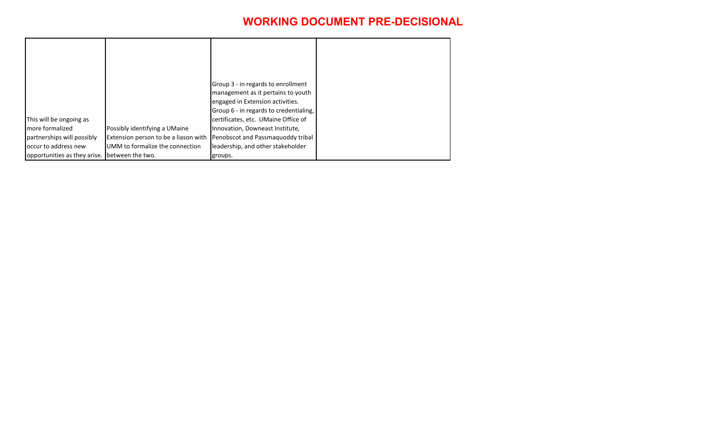|                                               |                                      | Group 3 - in regards to enrollment     |
|-----------------------------------------------|--------------------------------------|----------------------------------------|
|                                               |                                      | management as it pertains to youth     |
|                                               |                                      | engaged in Extension activities.       |
|                                               |                                      | Group 6 - in regards to credentialing, |
| This will be ongoing as                       |                                      | certificates, etc. UMaine Office of    |
| Imore formalized                              | Possibly identifying a UMaine        | Innovation, Downeast Institute,        |
| partnerships will possibly                    | Extension person to be a liason with | Penobscot and Passmaguoddy tribal      |
| loccur to address new                         | UMM to formalize the connection      | leadership, and other stakeholder      |
| opportunities as they arise. between the two. |                                      | groups.                                |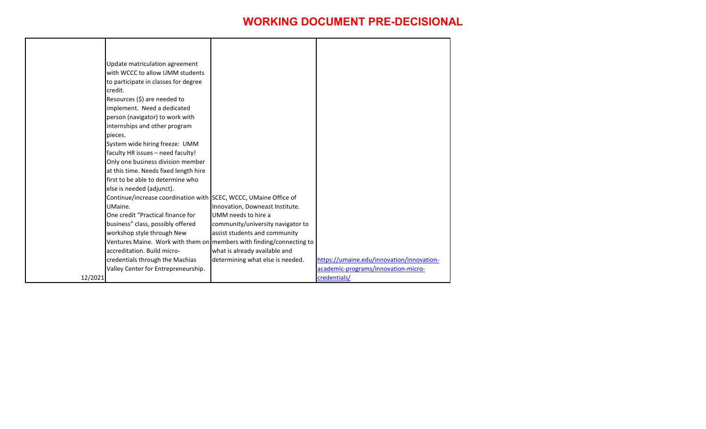|         | Update matriculation agreement<br>with WCCC to allow UMM students<br>to participate in classes for degree |                                                                      |                                                                                  |
|---------|-----------------------------------------------------------------------------------------------------------|----------------------------------------------------------------------|----------------------------------------------------------------------------------|
|         | credit.                                                                                                   |                                                                      |                                                                                  |
|         | Resources $(\xi)$ are needed to                                                                           |                                                                      |                                                                                  |
|         | implement. Need a dedicated                                                                               |                                                                      |                                                                                  |
|         | person (navigator) to work with                                                                           |                                                                      |                                                                                  |
|         | internships and other program                                                                             |                                                                      |                                                                                  |
|         | pieces.                                                                                                   |                                                                      |                                                                                  |
|         | System wide hiring freeze: UMM                                                                            |                                                                      |                                                                                  |
|         | faculty HR issues - need faculty!                                                                         |                                                                      |                                                                                  |
|         | Only one business division member                                                                         |                                                                      |                                                                                  |
|         | at this time. Needs fixed length hire                                                                     |                                                                      |                                                                                  |
|         | first to be able to determine who                                                                         |                                                                      |                                                                                  |
|         | else is needed (adjunct).                                                                                 |                                                                      |                                                                                  |
|         | Continue/increase coordination with SCEC, WCCC, UMaine Office of                                          |                                                                      |                                                                                  |
|         | UMaine.                                                                                                   | Innovation, Downeast Institute.                                      |                                                                                  |
|         | One credit "Practical finance for                                                                         | UMM needs to hire a                                                  |                                                                                  |
|         | business" class, possibly offered                                                                         | community/university navigator to                                    |                                                                                  |
|         | workshop style through New                                                                                | assist students and community                                        |                                                                                  |
|         |                                                                                                           | Ventures Maine. Work with them on members with finding/connecting to |                                                                                  |
|         | accreditation. Build micro-                                                                               | what is already available and                                        |                                                                                  |
|         | credentials through the Machias                                                                           | determining what else is needed.                                     | https://umaine.edu/innovation/innovation-<br>academic-programs/innovation-micro- |
| 12/2021 | Valley Center for Entrepreneurship.                                                                       |                                                                      | credentials/                                                                     |
|         |                                                                                                           |                                                                      |                                                                                  |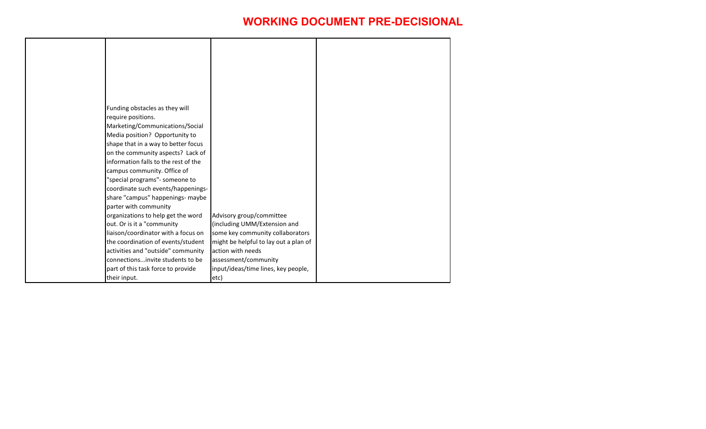| Funding obstacles as they will       |                                       |  |
|--------------------------------------|---------------------------------------|--|
| require positions.                   |                                       |  |
| Marketing/Communications/Social      |                                       |  |
| Media position? Opportunity to       |                                       |  |
| shape that in a way to better focus  |                                       |  |
| on the community aspects? Lack of    |                                       |  |
| information falls to the rest of the |                                       |  |
| campus community. Office of          |                                       |  |
| "special programs"- someone to       |                                       |  |
| coordinate such events/happenings-   |                                       |  |
| share "campus" happenings- maybe     |                                       |  |
| parter with community                |                                       |  |
| organizations to help get the word   | Advisory group/committee              |  |
| out. Or is it a "community           | (including UMM/Extension and          |  |
| liaison/coordinator with a focus on  | some key community collaborators      |  |
| the coordination of events/student   | might be helpful to lay out a plan of |  |
| activities and "outside" community   | action with needs                     |  |
| connectionsinvite students to be     | assessment/community                  |  |
| part of this task force to provide   | input/ideas/time lines, key people,   |  |
| their input.                         | etc)                                  |  |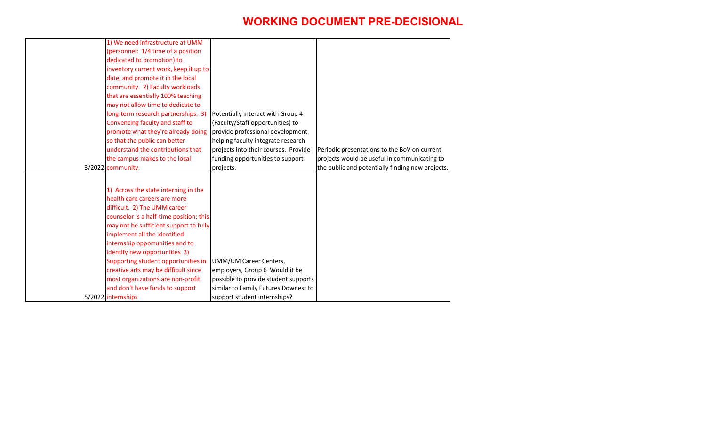| 1) We need infrastructure at UMM<br>(personnel: 1/4 time of a position |                                      |                                                  |
|------------------------------------------------------------------------|--------------------------------------|--------------------------------------------------|
| dedicated to promotion) to                                             |                                      |                                                  |
| inventory current work, keep it up to                                  |                                      |                                                  |
| date, and promote it in the local                                      |                                      |                                                  |
| community. 2) Faculty workloads                                        |                                      |                                                  |
| that are essentially 100% teaching                                     |                                      |                                                  |
| may not allow time to dedicate to                                      |                                      |                                                  |
| long-term research partnerships. 3)                                    | Potentially interact with Group 4    |                                                  |
| Convencing faculty and staff to                                        | (Faculty/Staff opportunities) to     |                                                  |
| promote what they're already doing                                     | provide professional development     |                                                  |
| so that the public can better                                          | helping faculty integrate research   |                                                  |
| understand the contributions that                                      | projects into their courses. Provide | Periodic presentations to the BoV on current     |
| the campus makes to the local                                          | funding opportunities to support     | projects would be useful in communicating to     |
| $3/2022$ community.                                                    | projects.                            | the public and potentially finding new projects. |
|                                                                        |                                      |                                                  |
| 1) Across the state interning in the                                   |                                      |                                                  |
| health care careers are more                                           |                                      |                                                  |
| difficult. 2) The UMM career                                           |                                      |                                                  |
| counselor is a half-time position; this                                |                                      |                                                  |
| may not be sufficient support to fully                                 |                                      |                                                  |
| implement all the identified                                           |                                      |                                                  |
| internship opportunities and to                                        |                                      |                                                  |
| identify new opportunities 3)                                          |                                      |                                                  |
| Supporting student opportunities in                                    | UMM/UM Career Centers,               |                                                  |
| creative arts may be difficult since                                   | employers, Group 6 Would it be       |                                                  |
| most organizations are non-profit                                      | possible to provide student supports |                                                  |
| and don't have funds to support                                        | similar to Family Futures Downest to |                                                  |
| 5/2022 internships                                                     | support student internships?         |                                                  |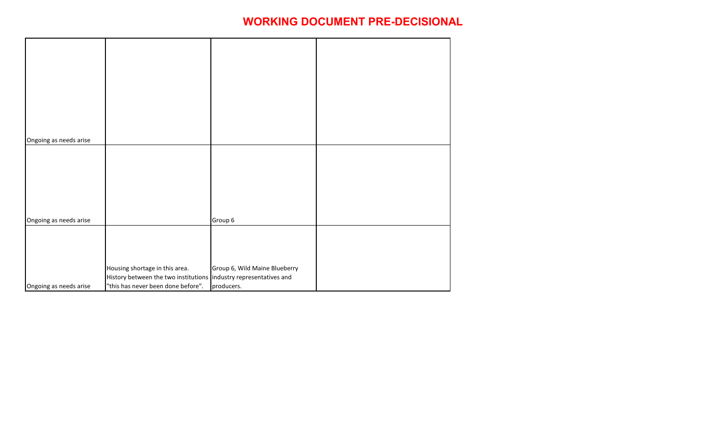| Ongoing as needs arise |                                                                                                          |                               |  |
|------------------------|----------------------------------------------------------------------------------------------------------|-------------------------------|--|
|                        |                                                                                                          |                               |  |
|                        |                                                                                                          |                               |  |
|                        |                                                                                                          |                               |  |
|                        |                                                                                                          |                               |  |
|                        |                                                                                                          |                               |  |
|                        |                                                                                                          |                               |  |
| Ongoing as needs arise |                                                                                                          | Group 6                       |  |
|                        |                                                                                                          |                               |  |
|                        |                                                                                                          |                               |  |
|                        |                                                                                                          |                               |  |
|                        |                                                                                                          |                               |  |
|                        | Housing shortage in this area.                                                                           | Group 6, Wild Maine Blueberry |  |
| Ongoing as needs arise | History between the two institutions  industry representatives and<br>"this has never been done before". | producers.                    |  |
|                        |                                                                                                          |                               |  |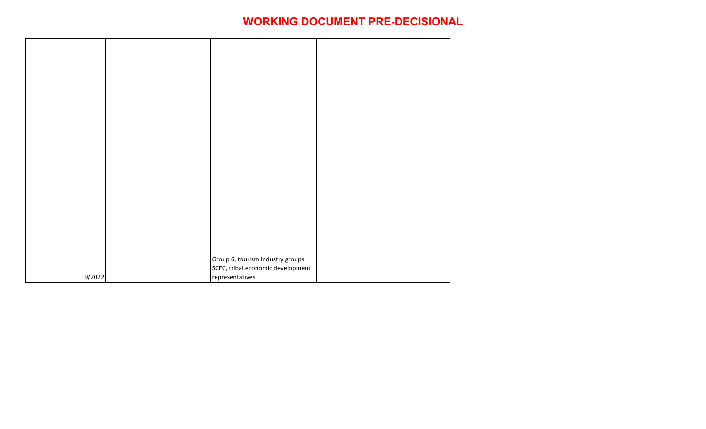|        | Group 6, tourism industry groups, |  |
|--------|-----------------------------------|--|
|        | SCEC, tribal economic development |  |
| 9/2022 | representatives                   |  |
|        |                                   |  |